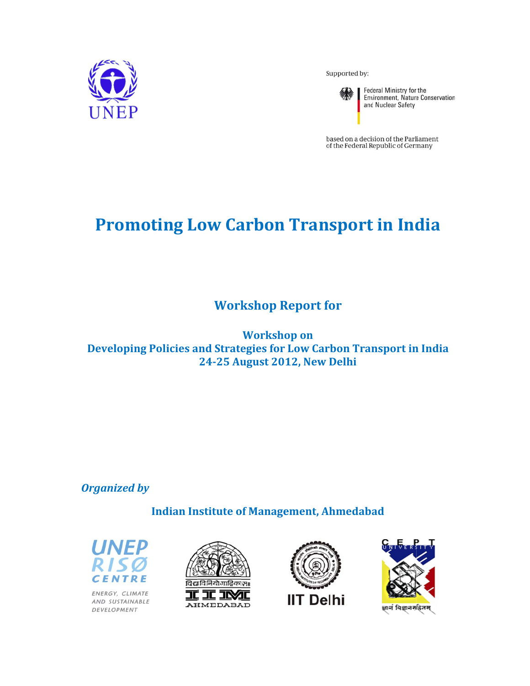

Supported by:



Federal Ministry for the<br>Environment, Nature Conservation and Nuclear Safety

based on a decision of the Parliament<br>of the Federal Republic of Germany

# **Promoting Low Carbon Transport in India**

**Work kshop R Report f for**

**Developing Policies and Strategies for Low Carbon Transport in India 24‐25 Au ugust 20 12, New Delhi Workshop** on

*<u>Organized</u>* by

**Indian Institute of Management, Ahmedabad** 



ENERGY, CLIMATE AND SUSTAINABLE DEVELOPMENT





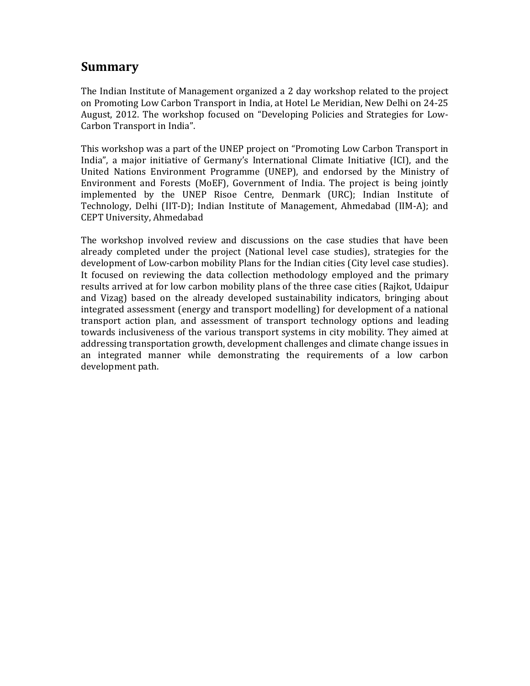# **Summary**

The Indian Institute of Management organized a 2 day workshop related to the project on Promoting Low Carbon Transport in India, at Hotel Le Meridian, New Delhi on 24-25 August, 2012. The workshop focused on "Developing Policies and Strategies for Low-Carbon Transport in India".

This workshop was a part of the UNEP project on "Promoting Low Carbon Transport in India", a major initiative of Germany's International Climate Initiative (ICI), and the United Nations Environment Programme (UNEP), and endorsed by the Ministry of Environment and Forests (MoEF), Government of India. The project is being jointly implemented by the UNEP Risoe Centre, Denmark (URC); Indian Institute of Technology, Delhi (IIT-D); Indian Institute of Management, Ahmedabad (IIM-A); and CEPT University, Ahmedabad

The workshop involved review and discussions on the case studies that have been already completed under the project (National level case studies), strategies for the development of Low-carbon mobility Plans for the Indian cities (City level case studies). It focused on reviewing the data collection methodology employed and the primary results arrived at for low carbon mobility plans of the three case cities (Rajkot, Udaipur and Vizag) based on the already developed sustainability indicators, bringing about integrated assessment (energy and transport modelling) for development of a national transport action plan, and assessment of transport technology options and leading towards inclusiveness of the various transport systems in city mobility. They aimed at addressing transportation growth, development challenges and climate change issues in an integrated manner while demonstrating the requirements of a low carbon development path.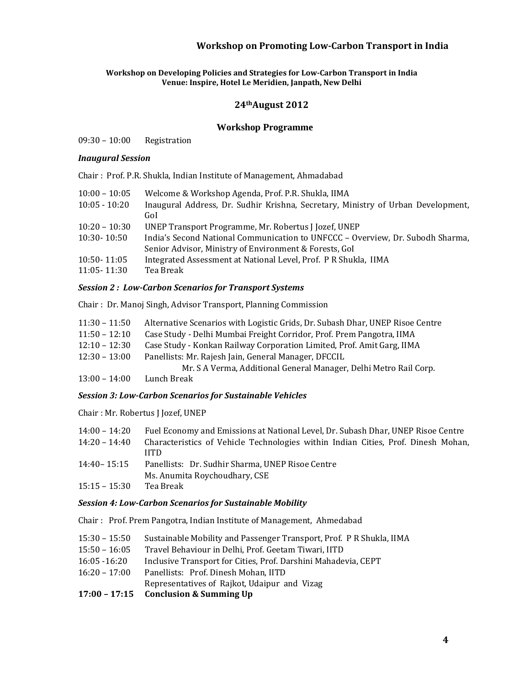#### **Workshop on Developing Policies and Strategies for Low‐Carbon Transport in India Venue: Inspire, Hotel Le Meridien, Janpath, New Delhi**

### **24thAugust 2012**

### **Workshop Programme**

09:30 - 10:00 Registration

### *<i>Inaugural Session*

Chair: Prof. P.R. Shukla, Indian Institute of Management, Ahmadabad

| $10:00 - 10:05$ | Welcome & Workshop Agenda, Prof. P.R. Shukla, IIMA                               |
|-----------------|----------------------------------------------------------------------------------|
| $10:05 - 10:20$ | Inaugural Address, Dr. Sudhir Krishna, Secretary, Ministry of Urban Development, |
|                 | Gol                                                                              |
| $10:20 - 10:30$ | UNEP Transport Programme, Mr. Robertus J Jozef, UNEP                             |
| $10:30 - 10:50$ | India's Second National Communication to UNFCCC - Overview, Dr. Subodh Sharma,   |
|                 | Senior Advisor, Ministry of Environment & Forests, Gol                           |
| $10:50 - 11:05$ | Integrated Assessment at National Level, Prof. P R Shukla, IIMA                  |
| 11:05 - 11:30   | Tea Break                                                                        |

### *Session 2 : Low‐Carbon Scenarios for Transport Systems*

Chair : Dr. Manoj Singh, Advisor Transport, Planning Commission

| $11:30 - 11:50$ | Alternative Scenarios with Logistic Grids, Dr. Subash Dhar, UNEP Risoe Centre |
|-----------------|-------------------------------------------------------------------------------|
|-----------------|-------------------------------------------------------------------------------|

- 11:50 12:10 Case Study Delhi Mumbai Freight Corridor, Prof. Prem Pangotra, IIMA
- 12:10 12:30 Case Study Konkan Railway Corporation Limited, Prof. Amit Garg, IIMA
- 12:30 13:00 Panellists: Mr. Rajesh Jain, General Manager, DFCCIL

Mr. S A Verma, Additional General Manager, Delhi Metro Rail Corp.

 $13:00 - 14:00$  Lunch Break

### *Session 3: Low‐Carbon Scenarios for Sustainable Vehicles*

Chair: Mr. Robertus J Jozef, UNEP

| $14:00 - 14:20$ | Fuel Economy and Emissions at National Level, Dr. Subash Dhar, UNEP Risoe Centre  |
|-----------------|-----------------------------------------------------------------------------------|
| $14:20 - 14:40$ | Characteristics of Vehicle Technologies within Indian Cities, Prof. Dinesh Mohan, |
|                 | HTD.                                                                              |
| $14:40 - 15:15$ | Panellists: Dr. Sudhir Sharma, UNEP Risoe Centre                                  |
|                 | Ms. Anumita Roychoudhary, CSE                                                     |
| $15:15 - 15:30$ | Tea Break                                                                         |

### *Session 4: Low‐Carbon Scenarios for Sustainable Mobility*

Chair : Prof. Prem Pangotra, Indian Institute of Management, Ahmedabad

|  | 15:30 - 15:50 Sustainable Mobility and Passenger Transport, Prof. P R Shukla, IIMA |  |  |
|--|------------------------------------------------------------------------------------|--|--|
|--|------------------------------------------------------------------------------------|--|--|

- 15:50 16:05 Travel Behaviour in Delhi, Prof. Geetam Tiwari, IITD
- 16:05 -16:20 Inclusive Transport for Cities, Prof. Darshini Mahadevia, CEPT
- 16:20 17:00 Panellists: Prof. Dinesh Mohan, IITD
- Representatives of Rajkot, Udaipur and Vizag

### **17:00 – 17:15 Conclusion & Summing Up**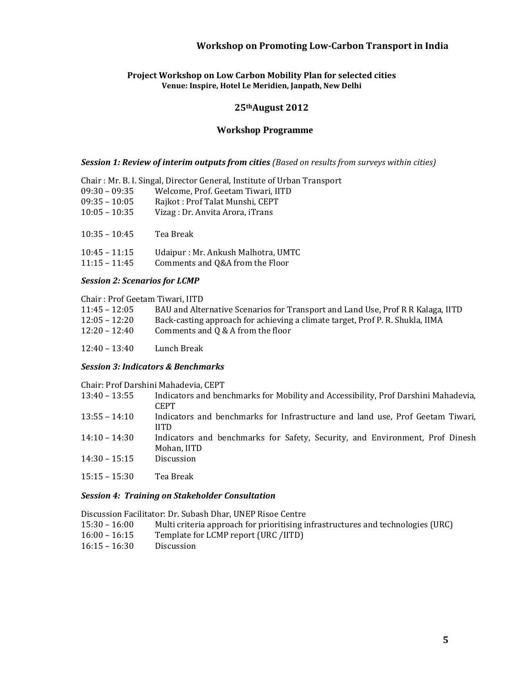#### **Project Workshop on Low Carbon Mobility Plan for selected cities Venue: Inspire, Hotel Le Meridien, Janpath, New Delhi**

### **25thAugust 2012**

### **Workshop Programme**

#### *Session 1: Review of interim outputs from cities (Based on results from surveys within cities)*

|                 | Chair: Mr. B. I. Singal, Director General, Institute of Urban Transport |
|-----------------|-------------------------------------------------------------------------|
| $09:30 - 09:35$ | Welcome, Prof. Geetam Tiwari, IITD                                      |
| $09:35 - 10:05$ | Rajkot: Prof Talat Munshi, CEPT                                         |
| $10:05 - 10:35$ | Vizag : Dr. Anvita Arora, iTrans                                        |
|                 |                                                                         |
| $10:35 - 10:45$ | Tea Break                                                               |
|                 |                                                                         |
| $10:45 - 11:15$ | Udaipur: Mr. Ankush Malhotra, UMTC                                      |
| $11:15 - 11:45$ | Comments and Q&A from the Floor                                         |

#### *Session 2: Scenarios for LCMP*

Chair: Prof Geetam Tiwari, IITD

| $11:45 - 12:05$ | BAU and Alternative Scenarios for Transport and Land Use, Prof R R Kalaga, IITD |
|-----------------|---------------------------------------------------------------------------------|
| $12:05 - 12:20$ | Back-casting approach for achieving a climate target, Prof P. R. Shukla, IIMA   |
| $12:20 - 12:40$ | Comments and $Q & A$ from the floor                                             |
|                 |                                                                                 |

12:40 – 13:40 Lunch Break

### *Session 3: Indicators & Benchmarks*

Chair: Prof Darshini Mahadevia, CEPT

- 13:40 13:55 Indicators and benchmarks for Mobility and Accessibility, Prof Darshini Mahadevia, **CEPT**
- 13:55 14:10 Indicators and benchmarks for Infrastructure and land use, Prof Geetam Tiwari, IITD
- 14:10 14:30 Indicators and benchmarks for Safety, Security, and Environment, Prof Dinesh Mohan, IITD 14:30 – 15:15 Discussion
- 
- 15:15 – 15:30 Tea Break

#### *Session 4: Training on Stakeholder Consultation*

### Discussion Facilitator: Dr. Subash Dhar, UNEP Risoe Centre

- 15:30 16:00 Multi criteria approach for prioritising infrastructures and technologies (URC)
- 16:00 16:15 Template for LCMP report (URC /IITD)
- 16:15 16:30 Discussion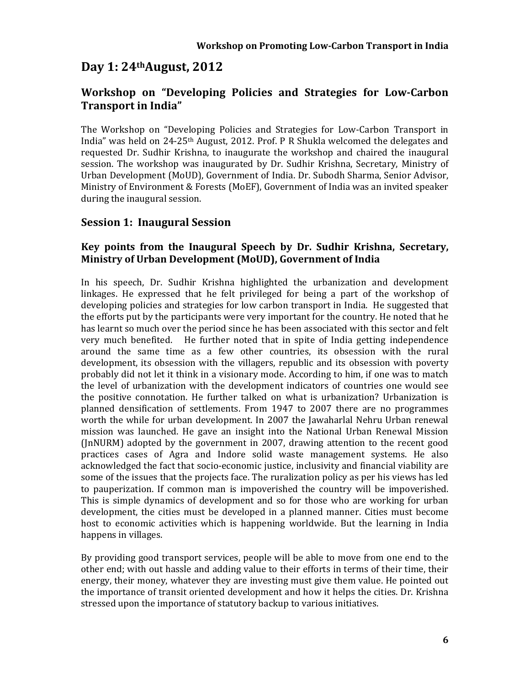# **Day 1: 24thAugust, 2012**

# **Workshop on "Developing Policies and Strategies for Low‐Carbon Transport in India"**

The Workshop on "Developing Policies and Strategies for Low-Carbon Transport in India" was held on 24-25<sup>th</sup> August, 2012. Prof. P R Shukla welcomed the delegates and requested Dr. Sudhir Krishna, to inaugurate the workshop and chaired the inaugural session. The workshop was inaugurated by Dr. Sudhir Krishna, Secretary, Ministry of Urban Development (MoUD), Government of India. Dr. Subodh Sharma, Senior Advisor, Ministry of Environment & Forests (MoEF), Government of India was an invited speaker during the inaugural session.

# **Session 1: Inaugural Session**

# **Key points from the Inaugural Speech by Dr. Sudhir Krishna, Secretary, Ministry of Urban Development (MoUD), Government of India**

In his speech, Dr. Sudhir Krishna highlighted the urbanization and development linkages. He expressed that he felt privileged for being a part of the workshop of developing policies and strategies for low carbon transport in India. He suggested that the efforts put by the participants were very important for the country. He noted that he has learnt so much over the period since he has been associated with this sector and felt very much benefited. He further noted that in spite of India getting independence around the same time as a few other countries, its obsession with the rural development, its obsession with the villagers, republic and its obsession with poverty probably did not let it think in a visionary mode. According to him, if one was to match the level of urbanization with the development indicators of countries one would see the positive connotation. He further talked on what is urbanization? Urbanization is planned densification of settlements. From 1947 to 2007 there are no programmes worth the while for urban development. In 2007 the Jawaharlal Nehru Urban renewal mission was launched. He gave an insight into the National Urban Renewal Mission  $($ InNURM) adopted by the government in 2007, drawing attention to the recent good practices cases of Agra and Indore solid waste management systems. He also acknowledged the fact that socio-economic justice, inclusivity and financial viability are some of the issues that the projects face. The ruralization policy as per his views has led to pauperization. If common man is impoverished the country will be impoverished. This is simple dynamics of development and so for those who are working for urban development, the cities must be developed in a planned manner. Cities must become host to economic activities which is happening worldwide. But the learning in India happens in villages.

By providing good transport services, people will be able to move from one end to the other end; with out hassle and adding value to their efforts in terms of their time, their energy, their money, whatever they are investing must give them value. He pointed out the importance of transit oriented development and how it helps the cities. Dr. Krishna stressed upon the importance of statutory backup to various initiatives.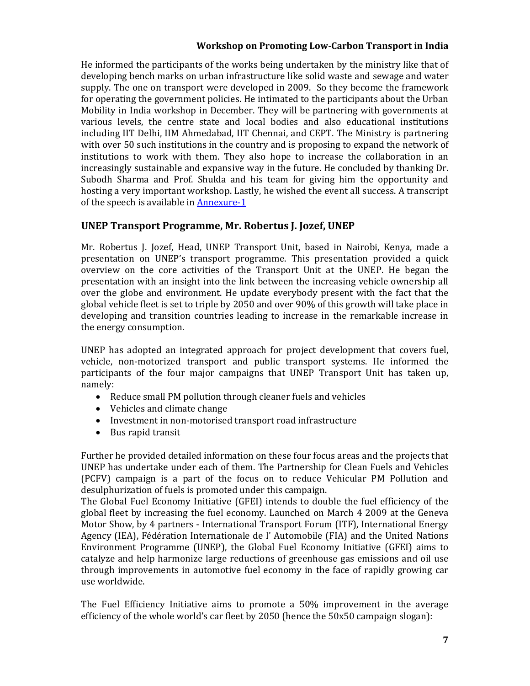He informed the participants of the works being undertaken by the ministry like that of developing bench marks on urban infrastructure like solid waste and sewage and water supply. The one on transport were developed in 2009. So they become the framework for operating the government policies. He intimated to the participants about the Urban Mobility in India workshop in December. They will be partnering with governments at various levels, the centre state and local bodies and also educational institutions including IIT Delhi, IIM Ahmedabad, IIT Chennai, and CEPT. The Ministry is partnering with over 50 such institutions in the country and is proposing to expand the network of institutions to work with them. They also hope to increase the collaboration in an increasingly sustainable and expansive way in the future. He concluded by thanking Dr. Subodh Sharma and Prof. Shukla and his team for giving him the opportunity and hosting a very important workshop. Lastly, he wished the event all success. A transcript of the speech is available in Annexure-1

# **UNEP Transport Programme, Mr. Robertus J. Jozef, UNEP**

Mr. Robertus J. Jozef, Head, UNEP Transport Unit, based in Nairobi, Kenya, made a presentation on UNEP's transport programme. This presentation provided a quick overview on the core activities of the Transport Unit at the UNEP. He began the presentation with an insight into the link between the increasing vehicle ownership all over the globe and environment. He update everybody present with the fact that the global vehicle fleet is set to triple by 2050 and over 90% of this growth will take place in developing and transition countries leading to increase in the remarkable increase in the energy consumption.

UNEP has adopted an integrated approach for project development that covers fuel, vehicle, non-motorized transport and public transport systems. He informed the participants of the four major campaigns that UNEP Transport Unit has taken up, namely: 

- $\bullet$  Reduce small PM pollution through cleaner fuels and vehicles
- Vehicles and climate change
- Investment in non-motorised transport road infrastructure
- $\bullet$  Bus rapid transit

Further he provided detailed information on these four focus areas and the projects that UNEP has undertake under each of them. The Partnership for Clean Fuels and Vehicles (PCFV) campaign is a part of the focus on to reduce Vehicular PM Pollution and desulphurization of fuels is promoted under this campaign.

The Global Fuel Economy Initiative (GFEI) intends to double the fuel efficiency of the global fleet by increasing the fuel economy. Launched on March 4 2009 at the Geneva Motor Show, by 4 partners - International Transport Forum (ITF), International Energy Agency (IEA), Fédération Internationale de l' Automobile (FIA) and the United Nations Environment Programme (UNEP), the Global Fuel Economy Initiative (GFEI) aims to catalyze and help harmonize large reductions of greenhouse gas emissions and oil use through improvements in automotive fuel economy in the face of rapidly growing car use worldwide.

The Fuel Efficiency Initiative aims to promote a 50% improvement in the average efficiency of the whole world's car fleet by  $2050$  (hence the  $50x50$  campaign slogan):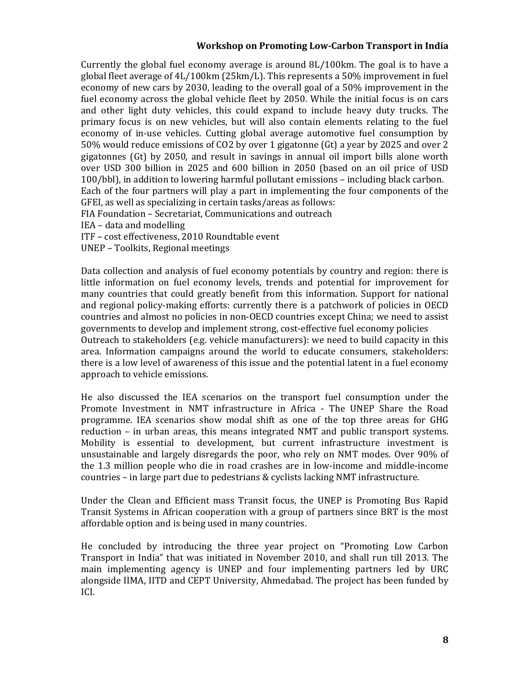Currently the global fuel economy average is around  $8L/100km$ . The goal is to have a global fleet average of  $4L/100km$  (25km/L). This represents a 50% improvement in fuel economy of new cars by 2030, leading to the overall goal of a 50% improvement in the fuel economy across the global vehicle fleet by 2050. While the initial focus is on cars and other light duty vehicles, this could expand to include heavy duty trucks. The primary focus is on new vehicles, but will also contain elements relating to the fuel economy of in-use vehicles. Cutting global average automotive fuel consumption by 50% would reduce emissions of CO2 by over 1 gigatonne (Gt) a year by 2025 and over 2 gigatonnes  $(6t)$  by 2050, and result in savings in annual oil import bills alone worth over USD 300 billion in 2025 and 600 billion in 2050 (based on an oil price of USD 100/bbl), in addition to lowering harmful pollutant emissions – including black carbon. Each of the four partners will play a part in implementing the four components of the GFEI, as well as specializing in certain tasks/areas as follows: FIA Foundation - Secretariat, Communications and outreach IEA – data and modelling

ITF - cost effectiveness, 2010 Roundtable event

UNEP - Toolkits, Regional meetings

Data collection and analysis of fuel economy potentials by country and region: there is little information on fuel economy levels, trends and potential for improvement for many countries that could greatly benefit from this information. Support for national and regional policy-making efforts: currently there is a patchwork of policies in OECD countries and almost no policies in non-OECD countries except China; we need to assist governments to develop and implement strong, cost-effective fuel economy policies Outreach to stakeholders (e.g. vehicle manufacturers): we need to build capacity in this area. Information campaigns around the world to educate consumers, stakeholders: there is a low level of awareness of this issue and the potential latent in a fuel economy approach to vehicle emissions.

He also discussed the IEA scenarios on the transport fuel consumption under the Promote Investment in NMT infrastructure in Africa - The UNEP Share the Road programme. IEA scenarios show modal shift as one of the top three areas for GHG reduction  $-$  in urban areas, this means integrated NMT and public transport systems. Mobility is essential to development, but current infrastructure investment is unsustainable and largely disregards the poor, who rely on NMT modes. Over  $90\%$  of the 1.3 million people who die in road crashes are in low-income and middle-income countries  $-$  in large part due to pedestrians  $\&$  cyclists lacking NMT infrastructure.

Under the Clean and Efficient mass Transit focus, the UNEP is Promoting Bus Rapid Transit Systems in African cooperation with a group of partners since BRT is the most affordable option and is being used in many countries.

He concluded by introducing the three year project on "Promoting Low Carbon" Transport in India" that was initiated in November 2010, and shall run till 2013. The main implementing agency is UNEP and four implementing partners led by URC alongside IIMA, IITD and CEPT University, Ahmedabad. The project has been funded by ICI.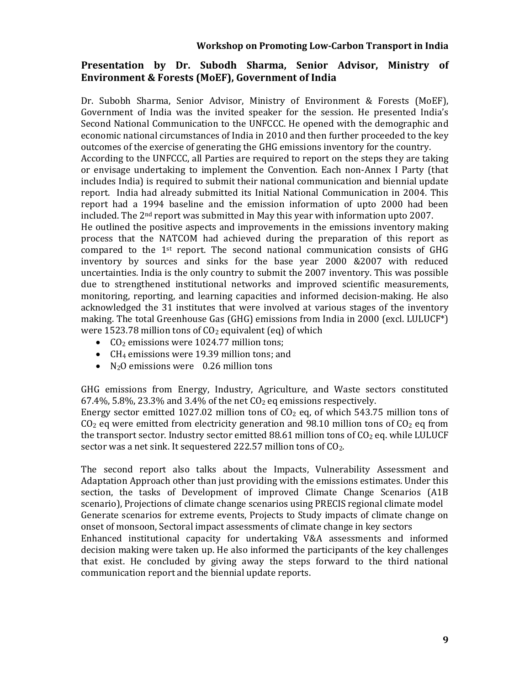# **Presentation by Dr. Subodh Sharma, Senior Advisor, Ministry of Environment & Forests (MoEF), Government of India**

Dr. Subobh Sharma, Senior Advisor, Ministry of Environment & Forests (MoEF), Government of India was the invited speaker for the session. He presented India's Second National Communication to the UNFCCC. He opened with the demographic and economic national circumstances of India in 2010 and then further proceeded to the key outcomes of the exercise of generating the GHG emissions inventory for the country.

According to the UNFCCC, all Parties are required to report on the steps they are taking or envisage undertaking to implement the Convention. Each non-Annex I Party (that includes India) is required to submit their national communication and biennial update report. India had already submitted its Initial National Communication in 2004. This report had a 1994 baseline and the emission information of upto 2000 had been included. The  $2<sup>nd</sup>$  report was submitted in May this year with information upto 2007.

He outlined the positive aspects and improvements in the emissions inventory making process that the NATCOM had achieved during the preparation of this report as compared to the  $1<sup>st</sup>$  report. The second national communication consists of GHG inventory by sources and sinks for the base year 2000 &2007 with reduced uncertainties. India is the only country to submit the 2007 inventory. This was possible due to strengthened institutional networks and improved scientific measurements, monitoring, reporting, and learning capacities and informed decision-making. He also acknowledged the 31 institutes that were involved at various stages of the inventory making. The total Greenhouse Gas (GHG) emissions from India in 2000 (excl. LULUCF<sup>\*</sup>) were 1523.78 million tons of  $CO<sub>2</sub>$  equivalent (eq) of which

- $CO<sub>2</sub>$  emissions were 1024.77 million tons;
- CH<sub>4</sub> emissions were 19.39 million tons; and
- $N_2$ O emissions were 0.26 million tons

GHG emissions from Energy, Industry, Agriculture, and Waste sectors constituted  $67.4\%$ , 5.8%, 23.3% and 3.4% of the net  $CO<sub>2</sub>$  eq emissions respectively.

Energy sector emitted 1027.02 million tons of  $CO<sub>2</sub>$  eq, of which 543.75 million tons of  $CO<sub>2</sub>$  eq were emitted from electricity generation and 98.10 million tons of  $CO<sub>2</sub>$  eq from the transport sector. Industry sector emitted 88.61 million tons of  $CO<sub>2</sub>$  eq. while LULUCF sector was a net sink. It sequestered 222.57 million tons of  $CO<sub>2</sub>$ .

The second report also talks about the Impacts, Vulnerability Assessment and Adaptation Approach other than just providing with the emissions estimates. Under this section, the tasks of Development of improved Climate Change Scenarios (A1B) scenario), Projections of climate change scenarios using PRECIS regional climate model Generate scenarios for extreme events, Projects to Study impacts of climate change on onset of monsoon, Sectoral impact assessments of climate change in key sectors

Enhanced institutional capacity for undertaking V&A assessments and informed decision making were taken up. He also informed the participants of the key challenges that exist. He concluded by giving away the steps forward to the third national communication report and the biennial update reports.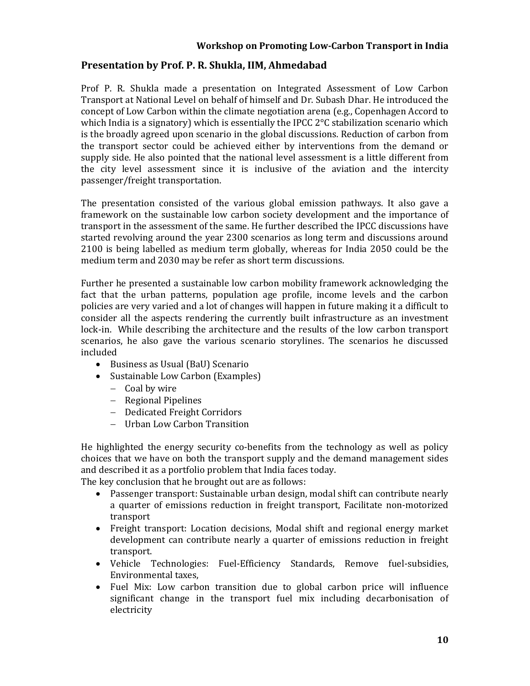# **Presentation by Prof. P. R. Shukla, IIM, Ahmedabad**

Prof P. R. Shukla made a presentation on Integrated Assessment of Low Carbon Transport at National Level on behalf of himself and Dr. Subash Dhar. He introduced the concept of Low Carbon within the climate negotiation arena  $(e.g., Copenhagen$  Accord to which India is a signatory) which is essentially the IPCC  $2^{\circ}$ C stabilization scenario which is the broadly agreed upon scenario in the global discussions. Reduction of carbon from the transport sector could be achieved either by interventions from the demand or supply side. He also pointed that the national level assessment is a little different from the city level assessment since it is inclusive of the aviation and the intercity passenger/freight transportation.

The presentation consisted of the various global emission pathways. It also gave a framework on the sustainable low carbon society development and the importance of transport in the assessment of the same. He further described the IPCC discussions have started revolving around the year 2300 scenarios as long term and discussions around  $2100$  is being labelled as medium term globally, whereas for India 2050 could be the medium term and 2030 may be refer as short term discussions.

Further he presented a sustainable low carbon mobility framework acknowledging the fact that the urban patterns, population age profile, income levels and the carbon policies are very varied and a lot of changes will happen in future making it a difficult to consider all the aspects rendering the currently built infrastructure as an investment lock-in. While describing the architecture and the results of the low carbon transport scenarios, he also gave the various scenario storylines. The scenarios he discussed included 

- Business as Usual (BaU) Scenario
- Sustainable Low Carbon (Examples)
	- $-$  Coal by wire
	- Regional Pipelines
	- Dedicated Freight Corridors
	- Urban Low Carbon Transition

He highlighted the energy security co-benefits from the technology as well as policy choices that we have on both the transport supply and the demand management sides and described it as a portfolio problem that India faces today.

The key conclusion that he brought out are as follows:

- Passenger transport: Sustainable urban design, modal shift can contribute nearly a quarter of emissions reduction in freight transport, Facilitate non-motorized transport
- Freight transport: Location decisions, Modal shift and regional energy market development can contribute nearly a quarter of emissions reduction in freight transport.
- Vehicle Technologies: Fuel-Efficiency Standards, Remove fuel-subsidies, Environmental taxes,
- Fuel Mix: Low carbon transition due to global carbon price will influence significant change in the transport fuel mix including decarbonisation of electricity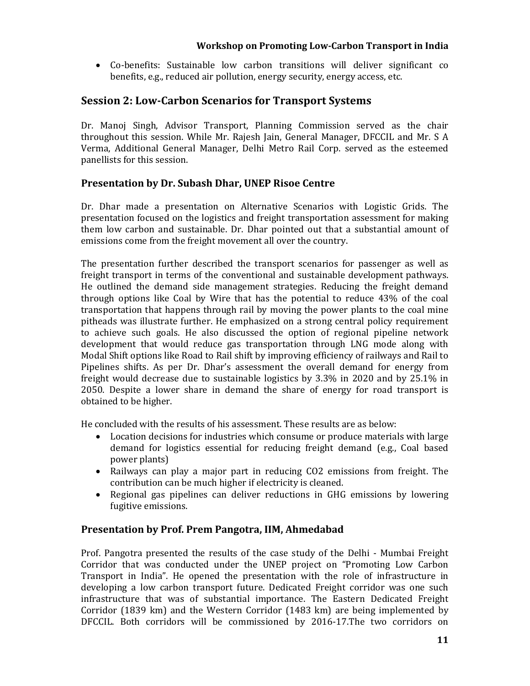• Co-benefits: Sustainable low carbon transitions will deliver significant co benefits, e.g., reduced air pollution, energy security, energy access, etc.

# **Session 2: Low‐Carbon Scenarios for Transport Systems**

Dr. Manoj Singh, Advisor Transport, Planning Commission served as the chair throughout this session. While Mr. Rajesh Jain, General Manager, DFCCIL and Mr. S A Verma, Additional General Manager, Delhi Metro Rail Corp. served as the esteemed panellists for this session.

# **Presentation by Dr. Subash Dhar, UNEP Risoe Centre**

Dr. Dhar made a presentation on Alternative Scenarios with Logistic Grids. The presentation focused on the logistics and freight transportation assessment for making them low carbon and sustainable. Dr. Dhar pointed out that a substantial amount of emissions come from the freight movement all over the country.

The presentation further described the transport scenarios for passenger as well as freight transport in terms of the conventional and sustainable development pathways. He outlined the demand side management strategies. Reducing the freight demand through options like Coal by Wire that has the potential to reduce  $43\%$  of the coal transportation that happens through rail by moving the power plants to the coal mine pitheads was illustrate further. He emphasized on a strong central policy requirement to achieve such goals. He also discussed the option of regional pipeline network development that would reduce gas transportation through LNG mode along with Modal Shift options like Road to Rail shift by improving efficiency of railways and Rail to Pipelines shifts. As per Dr. Dhar's assessment the overall demand for energy from freight would decrease due to sustainable logistics by  $3.3\%$  in 2020 and by 25.1% in 2050. Despite a lower share in demand the share of energy for road transport is obtained to be higher.

He concluded with the results of his assessment. These results are as below:

- Location decisions for industries which consume or produce materials with large demand for logistics essential for reducing freight demand (e.g., Coal based power plants)
- Railways can play a major part in reducing CO2 emissions from freight. The contribution can be much higher if electricity is cleaned.
- Regional gas pipelines can deliver reductions in GHG emissions by lowering fugitive emissions.

# **Presentation by Prof. Prem Pangotra, IIM, Ahmedabad**

Prof. Pangotra presented the results of the case study of the Delhi - Mumbai Freight Corridor that was conducted under the UNEP project on "Promoting Low Carbon Transport in India". He opened the presentation with the role of infrastructure in developing a low carbon transport future. Dedicated Freight corridor was one such infrastructure that was of substantial importance. The Eastern Dedicated Freight Corridor  $(1839 \text{ km})$  and the Western Corridor  $(1483 \text{ km})$  are being implemented by DFCCIL. Both corridors will be commissioned by 2016-17.The two corridors on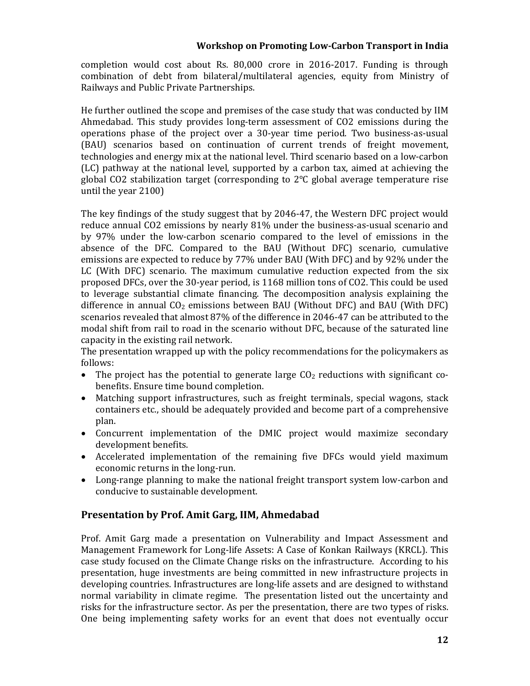completion would cost about Rs. 80,000 crore in 2016-2017. Funding is through combination of debt from bilateral/multilateral agencies, equity from Ministry of Railways and Public Private Partnerships.

He further outlined the scope and premises of the case study that was conducted by IIM Ahmedabad. This study provides  $\log$ -term assessment of CO2 emissions during the operations phase of the project over a 30-year time period. Two business-as-usual (BAU) scenarios based on continuation of current trends of freight movement, technologies and energy mix at the national level. Third scenario based on a low-carbon (LC) pathway at the national level, supported by a carbon tax, aimed at achieving the global CO2 stabilization target (corresponding to  $2^{\circ}C$  global average temperature rise until the year  $2100$ )

The key findings of the study suggest that by 2046-47, the Western DFC project would reduce annual CO2 emissions by nearly 81% under the business-as-usual scenario and by 97% under the low-carbon scenario compared to the level of emissions in the absence of the DFC. Compared to the BAU (Without DFC) scenario, cumulative emissions are expected to reduce by 77% under BAU (With DFC) and by 92% under the LC (With  $DFC$ ) scenario. The maximum cumulative reduction expected from the six proposed DFCs, over the 30-year period, is  $1168$  million tons of CO2. This could be used to leverage substantial climate financing. The decomposition analysis explaining the difference in annual  $CO<sub>2</sub>$  emissions between BAU (Without DFC) and BAU (With DFC) scenarios revealed that almost 87% of the difference in 2046-47 can be attributed to the modal shift from rail to road in the scenario without DFC, because of the saturated line capacity in the existing rail network.

The presentation wrapped up with the policy recommendations for the policymakers as follows: 

- The project has the potential to generate large  $CO<sub>2</sub>$  reductions with significant cobenefits. Ensure time bound completion.
- Matching support infrastructures, such as freight terminals, special wagons, stack containers etc., should be adequately provided and become part of a comprehensive plan.
- Concurrent implementation of the DMIC project would maximize secondary development benefits.
- Accelerated implementation of the remaining five DFCs would yield maximum economic returns in the long-run.
- Long-range planning to make the national freight transport system low-carbon and conducive to sustainable development.

# **Presentation by Prof. Amit Garg, IIM, Ahmedabad**

Prof. Amit Garg made a presentation on Vulnerability and Impact Assessment and Management Framework for Long-life Assets: A Case of Konkan Railways (KRCL). This case study focused on the Climate Change risks on the infrastructure. According to his presentation, huge investments are being committed in new infrastructure projects in developing countries. Infrastructures are long-life assets and are designed to withstand normal variability in climate regime. The presentation listed out the uncertainty and risks for the infrastructure sector. As per the presentation, there are two types of risks. One being implementing safety works for an event that does not eventually occur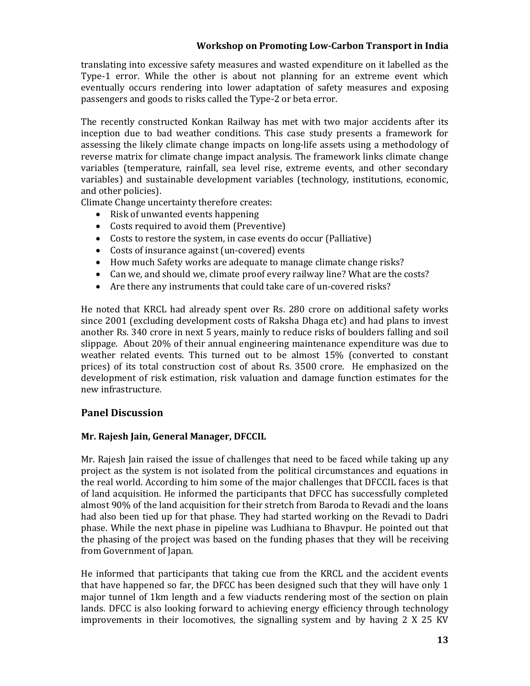translating into excessive safety measures and wasted expenditure on it labelled as the Type-1 error. While the other is about not planning for an extreme event which eventually occurs rendering into lower adaptation of safety measures and exposing passengers and goods to risks called the Type-2 or beta error.

The recently constructed Konkan Railway has met with two major accidents after its inception due to bad weather conditions. This case study presents a framework for assessing the likely climate change impacts on long-life assets using a methodology of reverse matrix for climate change impact analysis. The framework links climate change variables (temperature, rainfall, sea level rise, extreme events, and other secondary variables) and sustainable development variables (technology, institutions, economic, and other policies).

Climate Change uncertainty therefore creates:

- Risk of unwanted events happening
- Costs required to avoid them (Preventive)
- Costs to restore the system, in case events do occur (Palliative)
- Costs of insurance against (un-covered) events
- How much Safety works are adequate to manage climate change risks?
- Can we, and should we, climate proof every railway line? What are the costs?
- Are there any instruments that could take care of un-covered risks?

He noted that KRCL had already spent over Rs. 280 crore on additional safety works since 2001 (excluding development costs of Raksha Dhaga etc) and had plans to invest another Rs. 340 crore in next 5 years, mainly to reduce risks of boulders falling and soil slippage. About  $20\%$  of their annual engineering maintenance expenditure was due to weather related events. This turned out to be almost  $15\%$  (converted to constant prices) of its total construction cost of about Rs. 3500 crore. He emphasized on the development of risk estimation, risk valuation and damage function estimates for the new infrastructure. 

### **Panel Discussion**

### **Mr. Rajesh Jain, General Manager, DFCCIL**

Mr. Rajesh Jain raised the issue of challenges that need to be faced while taking up any project as the system is not isolated from the political circumstances and equations in the real world. According to him some of the major challenges that DFCCIL faces is that of land acquisition. He informed the participants that DFCC has successfully completed almost 90% of the land acquisition for their stretch from Baroda to Revadi and the loans had also been tied up for that phase. They had started working on the Revadi to Dadri phase. While the next phase in pipeline was Ludhiana to Bhavpur. He pointed out that the phasing of the project was based on the funding phases that they will be receiving from Government of Japan.

He informed that participants that taking cue from the KRCL and the accident events that have happened so far, the DFCC has been designed such that they will have only 1 major tunnel of 1km length and a few viaducts rendering most of the section on plain lands. DFCC is also looking forward to achieving energy efficiency through technology improvements in their locomotives, the signalling system and by having  $2 \times 25$  KV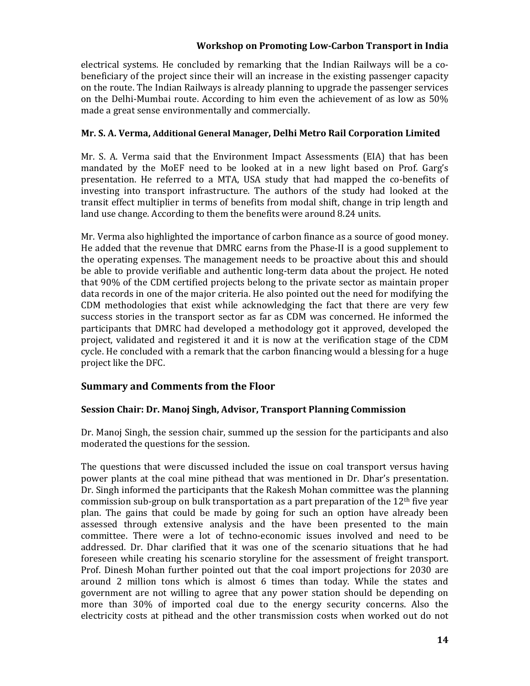electrical systems. He concluded by remarking that the Indian Railways will be a cobeneficiary of the project since their will an increase in the existing passenger capacity on the route. The Indian Railways is already planning to upgrade the passenger services on the Delhi-Mumbai route. According to him even the achievement of as low as  $50\%$ made a great sense environmentally and commercially.

### **Mr. S. A. Verma, Additional General Manager, Delhi Metro Rail Corporation Limited**

Mr. S. A. Verma said that the Environment Impact Assessments (EIA) that has been mandated by the MoEF need to be looked at in a new light based on Prof. Garg's presentation. He referred to a MTA, USA study that had mapped the co-benefits of investing into transport infrastructure. The authors of the study had looked at the transit effect multiplier in terms of benefits from modal shift, change in trip length and land use change. According to them the benefits were around 8.24 units.

Mr. Verma also highlighted the importance of carbon finance as a source of good money. He added that the revenue that DMRC earns from the Phase-II is a good supplement to the operating expenses. The management needs to be proactive about this and should be able to provide verifiable and authentic long-term data about the project. He noted that 90% of the CDM certified projects belong to the private sector as maintain proper data records in one of the major criteria. He also pointed out the need for modifying the  $CDM$  methodologies that exist while acknowledging the fact that there are very few success stories in the transport sector as far as CDM was concerned. He informed the participants that DMRC had developed a methodology got it approved, developed the project, validated and registered it and it is now at the verification stage of the CDM cycle. He concluded with a remark that the carbon financing would a blessing for a huge project like the DFC.

# **Summary and Comments from the Floor**

# **Session Chair: Dr. Manoj Singh, Advisor, Transport Planning Commission**

Dr. Manoj Singh, the session chair, summed up the session for the participants and also moderated the questions for the session.

The questions that were discussed included the issue on coal transport versus having power plants at the coal mine pithead that was mentioned in Dr. Dhar's presentation. Dr. Singh informed the participants that the Rakesh Mohan committee was the planning commission sub-group on bulk transportation as a part preparation of the  $12<sup>th</sup>$  five year plan. The gains that could be made by going for such an option have already been assessed through extensive analysis and the have been presented to the main committee. There were a lot of techno-economic issues involved and need to be addressed. Dr. Dhar clarified that it was one of the scenario situations that he had foreseen while creating his scenario storyline for the assessment of freight transport. Prof. Dinesh Mohan further pointed out that the coal import projections for 2030 are around 2 million tons which is almost 6 times than today. While the states and government are not willing to agree that any power station should be depending on more than 30% of imported coal due to the energy security concerns. Also the electricity costs at pithead and the other transmission costs when worked out do not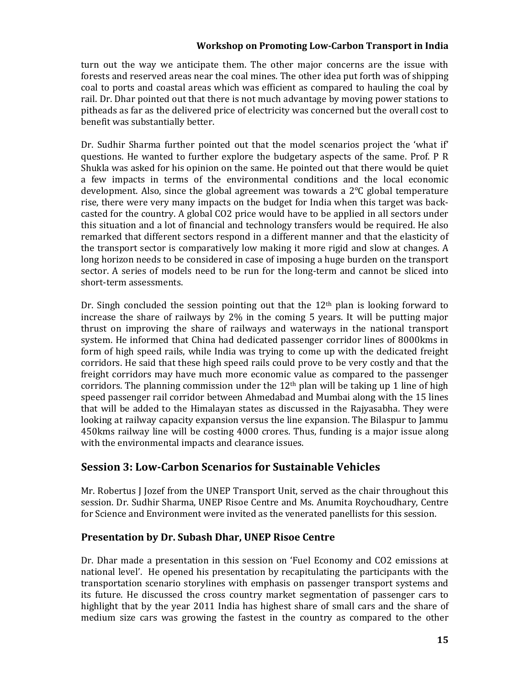turn out the way we anticipate them. The other major concerns are the issue with forests and reserved areas near the coal mines. The other idea put forth was of shipping coal to ports and coastal areas which was efficient as compared to hauling the coal by rail. Dr. Dhar pointed out that there is not much advantage by moving power stations to pitheads as far as the delivered price of electricity was concerned but the overall cost to benefit was substantially better.

Dr. Sudhir Sharma further pointed out that the model scenarios project the 'what if' questions. He wanted to further explore the budgetary aspects of the same. Prof. P R Shukla was asked for his opinion on the same. He pointed out that there would be quiet a few impacts in terms of the environmental conditions and the local economic development. Also, since the global agreement was towards a  $2^{\circ}C$  global temperature rise, there were very many impacts on the budget for India when this target was backcasted for the country. A global CO2 price would have to be applied in all sectors under this situation and a lot of financial and technology transfers would be required. He also remarked that different sectors respond in a different manner and that the elasticity of the transport sector is comparatively low making it more rigid and slow at changes. A long horizon needs to be considered in case of imposing a huge burden on the transport sector. A series of models need to be run for the long-term and cannot be sliced into short-term assessments.

Dr. Singh concluded the session pointing out that the  $12<sup>th</sup>$  plan is looking forward to increase the share of railways by  $2\%$  in the coming 5 years. It will be putting major thrust on improving the share of railways and waterways in the national transport system. He informed that China had dedicated passenger corridor lines of 8000kms in form of high speed rails, while India was trying to come up with the dedicated freight corridors. He said that these high speed rails could prove to be very costly and that the freight corridors may have much more economic value as compared to the passenger corridors. The planning commission under the  $12<sup>th</sup>$  plan will be taking up 1 line of high speed passenger rail corridor between Ahmedabad and Mumbai along with the 15 lines that will be added to the Himalayan states as discussed in the Rajyasabha. They were looking at railway capacity expansion versus the line expansion. The Bilaspur to Jammu  $450$ kms railway line will be costing  $4000$  crores. Thus, funding is a major issue along with the environmental impacts and clearance issues.

# **Session 3: Low‐Carbon Scenarios for Sustainable Vehicles**

Mr. Robertus J Jozef from the UNEP Transport Unit, served as the chair throughout this session. Dr. Sudhir Sharma, UNEP Risoe Centre and Ms. Anumita Roychoudhary, Centre for Science and Environment were invited as the venerated panellists for this session.

# **Presentation by Dr. Subash Dhar, UNEP Risoe Centre**

Dr. Dhar made a presentation in this session on 'Fuel Economy and CO2 emissions at national level'. He opened his presentation by recapitulating the participants with the transportation scenario storylines with emphasis on passenger transport systems and its future. He discussed the cross country market segmentation of passenger cars to highlight that by the year 2011 India has highest share of small cars and the share of medium size cars was growing the fastest in the country as compared to the other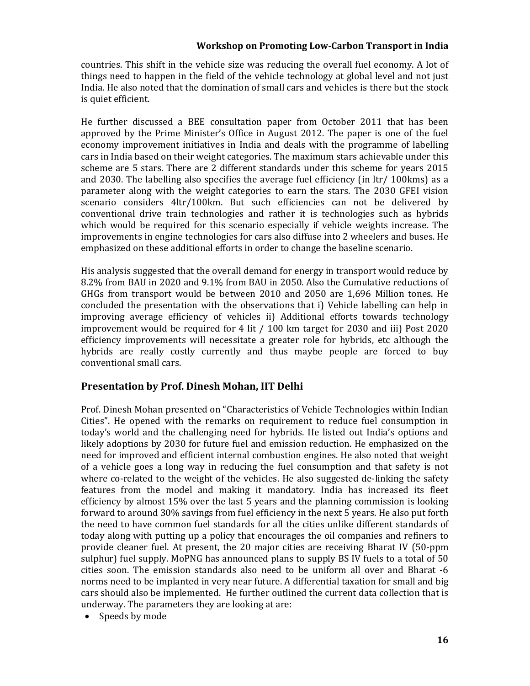countries. This shift in the vehicle size was reducing the overall fuel economy. A lot of things need to happen in the field of the vehicle technology at global level and not just India. He also noted that the domination of small cars and vehicles is there but the stock is quiet efficient.

He further discussed a BEE consultation paper from October 2011 that has been approved by the Prime Minister's Office in August 2012. The paper is one of the fuel economy improvement initiatives in India and deals with the programme of labelling cars in India based on their weight categories. The maximum stars achievable under this scheme are 5 stars. There are 2 different standards under this scheme for years 2015 and 2030. The labelling also specifies the average fuel efficiency (in  $\text{Itr}/100 \text{km}\text{s}$ ) as a parameter along with the weight categories to earn the stars. The 2030 GFEI vision scenario considers 4ltr/100km. But such efficiencies can not be delivered by conventional drive train technologies and rather it is technologies such as hybrids which would be required for this scenario especially if vehicle weights increase. The improvements in engine technologies for cars also diffuse into 2 wheelers and buses. He emphasized on these additional efforts in order to change the baseline scenario.

His analysis suggested that the overall demand for energy in transport would reduce by 8.2% from BAU in 2020 and 9.1% from BAU in 2050. Also the Cumulative reductions of GHGs from transport would be between 2010 and 2050 are 1,696 Million tones. He concluded the presentation with the observations that i) Vehicle labelling can help in improving average efficiency of vehicles ii) Additional efforts towards technology improvement would be required for 4 lit  $/$  100 km target for 2030 and iii) Post 2020 efficiency improvements will necessitate a greater role for hybrids, etc although the hybrids are really costly currently and thus maybe people are forced to buy conventional small cars.

# **Presentation by Prof. Dinesh Mohan, IIT Delhi**

Prof. Dinesh Mohan presented on "Characteristics of Vehicle Technologies within Indian Cities". He opened with the remarks on requirement to reduce fuel consumption in today's world and the challenging need for hybrids. He listed out India's options and likely adoptions by 2030 for future fuel and emission reduction. He emphasized on the need for improved and efficient internal combustion engines. He also noted that weight of a vehicle goes a long way in reducing the fuel consumption and that safety is not where co-related to the weight of the vehicles. He also suggested de-linking the safety features from the model and making it mandatory. India has increased its fleet efficiency by almost 15% over the last 5 years and the planning commission is looking forward to around 30% savings from fuel efficiency in the next 5 years. He also put forth the need to have common fuel standards for all the cities unlike different standards of today along with putting up a policy that encourages the oil companies and refiners to provide cleaner fuel. At present, the 20 major cities are receiving Bharat IV (50-ppm sulphur) fuel supply. MoPNG has announced plans to supply BS IV fuels to a total of 50 cities soon. The emission standards also need to be uniform all over and Bharat -6 norms need to be implanted in very near future. A differential taxation for small and big cars should also be implemented. He further outlined the current data collection that is underway. The parameters they are looking at are:

• Speeds by mode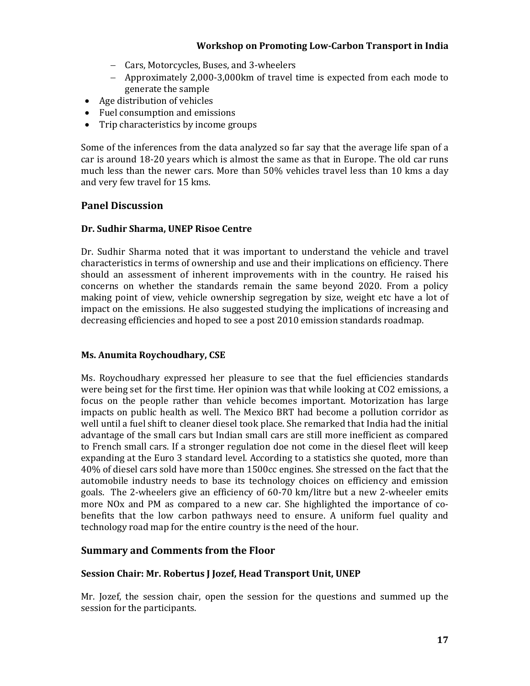- Cars, Motorcycles, Buses, and 3-wheelers
- Approximately 2,000-3,000km of travel time is expected from each mode to generate the sample
- Age distribution of vehicles
- Fuel consumption and emissions
- Trip characteristics by income groups

Some of the inferences from the data analyzed so far say that the average life span of a car is around 18-20 years which is almost the same as that in Europe. The old car runs much less than the newer cars. More than 50% vehicles travel less than 10 kms a day and very few travel for 15 kms.

### **Panel Discussion**

### **Dr. Sudhir Sharma, UNEP Risoe Centre**

Dr. Sudhir Sharma noted that it was important to understand the vehicle and travel characteristics in terms of ownership and use and their implications on efficiency. There should an assessment of inherent improvements with in the country. He raised his concerns on whether the standards remain the same beyond 2020. From a policy making point of view, vehicle ownership segregation by size, weight etc have a lot of impact on the emissions. He also suggested studying the implications of increasing and decreasing efficiencies and hoped to see a post 2010 emission standards roadmap.

# **Ms. Anumita Roychoudhary, CSE**

Ms. Roychoudhary expressed her pleasure to see that the fuel efficiencies standards were being set for the first time. Her opinion was that while looking at CO2 emissions, a focus on the people rather than vehicle becomes important. Motorization has large impacts on public health as well. The Mexico BRT had become a pollution corridor as well until a fuel shift to cleaner diesel took place. She remarked that India had the initial advantage of the small cars but Indian small cars are still more inefficient as compared to French small cars. If a stronger regulation doe not come in the diesel fleet will keep expanding at the Euro 3 standard level. According to a statistics she quoted, more than 40% of diesel cars sold have more than 1500cc engines. She stressed on the fact that the automobile industry needs to base its technology choices on efficiency and emission goals. The 2-wheelers give an efficiency of  $60-70 \text{ km/litre}$  but a new 2-wheeler emits more NOx and PM as compared to a new car. She highlighted the importance of cobenefits that the low carbon pathways need to ensure. A uniform fuel quality and technology road map for the entire country is the need of the hour.

# **Summary and Comments from the Floor**

### **Session Chair: Mr. Robertus J Jozef, Head Transport Unit, UNEP**

Mr. Jozef, the session chair, open the session for the questions and summed up the session for the participants.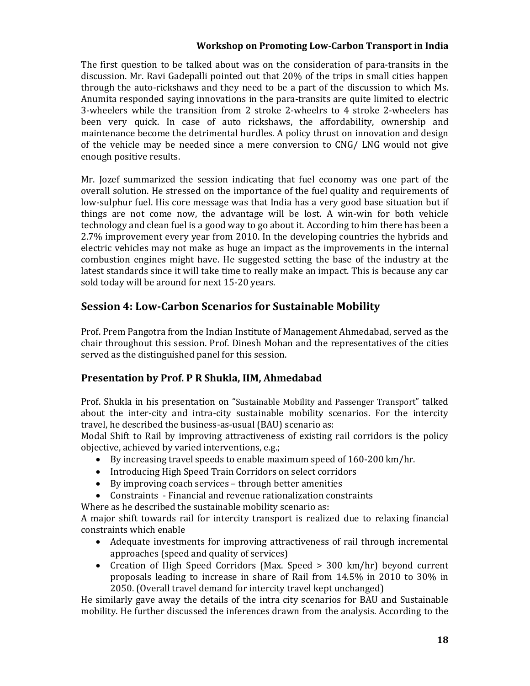The first question to be talked about was on the consideration of para-transits in the discussion. Mr. Ravi Gadepalli pointed out that 20% of the trips in small cities happen through the auto-rickshaws and they need to be a part of the discussion to which Ms. Anumita responded saying innovations in the para-transits are quite limited to electric 3-wheelers while the transition from 2 stroke 2-wheelrs to 4 stroke 2-wheelers has been very quick. In case of auto rickshaws, the affordability, ownership and maintenance become the detrimental hurdles. A policy thrust on innovation and design of the vehicle may be needed since a mere conversion to  $CNG/$  LNG would not give enough positive results.

Mr. Jozef summarized the session indicating that fuel economy was one part of the overall solution. He stressed on the importance of the fuel quality and requirements of low-sulphur fuel. His core message was that India has a very good base situation but if things are not come now, the advantage will be lost. A win-win for both vehicle technology and clean fuel is a good way to go about it. According to him there has been a  $2.7\%$  improvement every year from 2010. In the developing countries the hybrids and electric vehicles may not make as huge an impact as the improvements in the internal combustion engines might have. He suggested setting the base of the industry at the latest standards since it will take time to really make an impact. This is because any car sold today will be around for next 15-20 years.

# **Session 4: Low‐Carbon Scenarios for Sustainable Mobility**

Prof. Prem Pangotra from the Indian Institute of Management Ahmedabad, served as the chair throughout this session. Prof. Dinesh Mohan and the representatives of the cities served as the distinguished panel for this session.

# **Presentation by Prof. P R Shukla, IIM, Ahmedabad**

Prof. Shukla in his presentation on "Sustainable Mobility and Passenger Transport" talked about the inter-city and intra-city sustainable mobility scenarios. For the intercity travel, he described the business-as-usual (BAU) scenario as:

Modal Shift to Rail by improving attractiveness of existing rail corridors is the policy objective, achieved by varied interventions, e.g.;

- $\bullet$  By increasing travel speeds to enable maximum speed of 160-200 km/hr.
- Introducing High Speed Train Corridors on select corridors
- By improving coach services through better amenities
- Constraints Financial and revenue rationalization constraints

Where as he described the sustainable mobility scenario as:

A major shift towards rail for intercity transport is realized due to relaxing financial constraints which enable

- Adequate investments for improving attractiveness of rail through incremental approaches (speed and quality of services)
- Creation of High Speed Corridors (Max. Speed > 300 km/hr) beyond current proposals leading to increase in share of Rail from  $14.5\%$  in 2010 to 30% in 2050. (Overall travel demand for intercity travel kept unchanged)

He similarly gave away the details of the intra city scenarios for BAU and Sustainable mobility. He further discussed the inferences drawn from the analysis. According to the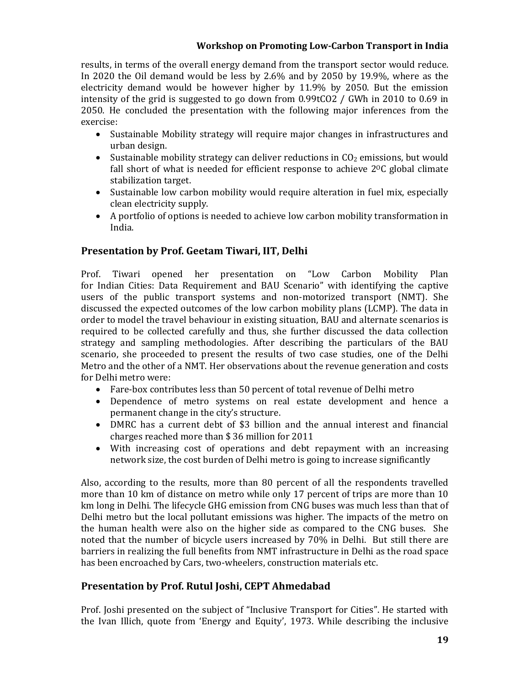results, in terms of the overall energy demand from the transport sector would reduce. In 2020 the Oil demand would be less by  $2.6\%$  and by 2050 by 19.9%, where as the electricity demand would be however higher by  $11.9\%$  by 2050. But the emission intensity of the grid is suggested to go down from  $0.99$ tCO2 / GWh in 2010 to 0.69 in 2050. He concluded the presentation with the following major inferences from the exercise: 

- Sustainable Mobility strategy will require major changes in infrastructures and urban design.
- Sustainable mobility strategy can deliver reductions in  $CO<sub>2</sub>$  emissions, but would fall short of what is needed for efficient response to achieve  $2^{0}C$  global climate stabilization target.
- Sustainable low carbon mobility would require alteration in fuel mix, especially clean electricity supply.
- A portfolio of options is needed to achieve low carbon mobility transformation in India.

# **Presentation by Prof. Geetam Tiwari, IIT, Delhi**

Prof. Tiwari opened her presentation on "Low Carbon Mobility Plan for Indian Cities: Data Requirement and BAU Scenario" with identifying the captive users of the public transport systems and non-motorized transport (NMT). She discussed the expected outcomes of the low carbon mobility plans (LCMP). The data in order to model the travel behaviour in existing situation, BAU and alternate scenarios is required to be collected carefully and thus, she further discussed the data collection strategy and sampling methodologies. After describing the particulars of the BAU scenario, she proceeded to present the results of two case studies, one of the Delhi Metro and the other of a NMT. Her observations about the revenue generation and costs for Delhi metro were:

- Fare-box contributes less than 50 percent of total revenue of Delhi metro
- Dependence of metro systems on real estate development and hence a permanent change in the city's structure.
- DMRC has a current debt of \$3 billion and the annual interest and financial charges reached more than  $$36$  million for 2011
- With increasing cost of operations and debt repayment with an increasing network size, the cost burden of Delhi metro is going to increase significantly

Also, according to the results, more than 80 percent of all the respondents travelled more than 10 km of distance on metro while only 17 percent of trips are more than 10 km long in Delhi. The lifecycle GHG emission from CNG buses was much less than that of Delhi metro but the local pollutant emissions was higher. The impacts of the metro on the human health were also on the higher side as compared to the CNG buses. She noted that the number of bicycle users increased by 70% in Delhi. But still there are barriers in realizing the full benefits from NMT infrastructure in Delhi as the road space has been encroached by Cars, two-wheelers, construction materials etc.

# **Presentation by Prof. Rutul Joshi, CEPT Ahmedabad**

Prof. Joshi presented on the subject of "Inclusive Transport for Cities". He started with the Ivan Illich, quote from 'Energy and Equity', 1973. While describing the inclusive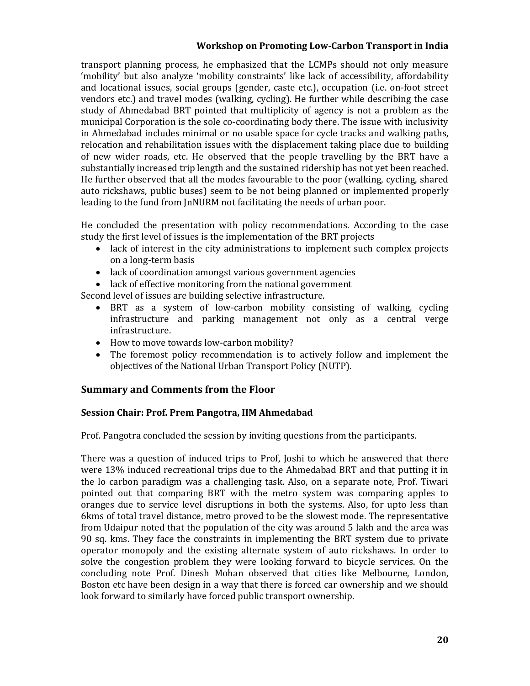transport planning process, he emphasized that the LCMPs should not only measure 'mobility' but also analyze 'mobility constraints' like lack of accessibility, affordability and locational issues, social groups (gender, caste etc.), occupation (i.e. on-foot street vendors etc.) and travel modes (walking, cycling). He further while describing the case study of Ahmedabad BRT pointed that multiplicity of agency is not a problem as the municipal Corporation is the sole co-coordinating body there. The issue with inclusivity in Ahmedabad includes minimal or no usable space for cycle tracks and walking paths, relocation and rehabilitation issues with the displacement taking place due to building of new wider roads, etc. He observed that the people travelling by the BRT have a substantially increased trip length and the sustained ridership has not vet been reached. He further observed that all the modes favourable to the poor (walking, cycling, shared auto rickshaws, public buses) seem to be not being planned or implemented properly leading to the fund from InNURM not facilitating the needs of urban poor.

He concluded the presentation with policy recommendations. According to the case study the first level of issues is the implementation of the BRT projects

- lack of interest in the city administrations to implement such complex projects on a long-term basis
- lack of coordination amongst various government agencies
- lack of effective monitoring from the national government

Second level of issues are building selective infrastructure.

- BRT as a system of low-carbon mobility consisting of walking, cycling infrastructure and parking management not only as a central verge infrastructure.
- How to move towards low-carbon mobility?
- The foremost policy recommendation is to actively follow and implement the objectives of the National Urban Transport Policy (NUTP).

# **Summary and Comments from the Floor**

### **Session Chair: Prof. Prem Pangotra, IIM Ahmedabad**

Prof. Pangotra concluded the session by inviting questions from the participants.

There was a question of induced trips to Prof, Joshi to which he answered that there were 13% induced recreational trips due to the Ahmedabad BRT and that putting it in the lo carbon paradigm was a challenging task. Also, on a separate note, Prof. Tiwari pointed out that comparing BRT with the metro system was comparing apples to oranges due to service level disruptions in both the systems. Also, for upto less than 6kms of total travel distance, metro proved to be the slowest mode. The representative from Udaipur noted that the population of the city was around 5 lakh and the area was 90 sq. kms. They face the constraints in implementing the BRT system due to private operator monopoly and the existing alternate system of auto rickshaws. In order to solve the congestion problem they were looking forward to bicycle services. On the concluding note Prof. Dinesh Mohan observed that cities like Melbourne, London, Boston etc have been design in a way that there is forced car ownership and we should look forward to similarly have forced public transport ownership.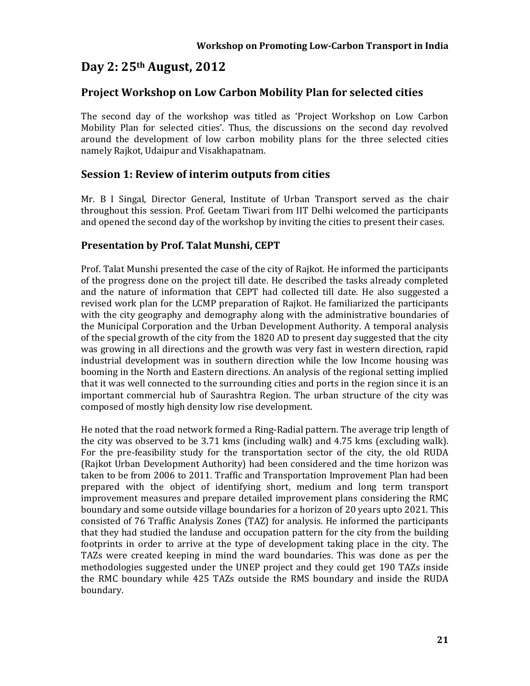# **Day 2: 25th August, 2012**

# **Project Workshop on Low Carbon Mobility Plan for selected cities**

The second day of the workshop was titled as 'Project Workshop on Low Carbon Mobility Plan for selected cities'. Thus, the discussions on the second day revolved around the development of low carbon mobility plans for the three selected cities namely Rajkot, Udaipur and Visakhapatnam.

# **Session 1: Review of interim outputs from cities**

Mr. B I Singal, Director General, Institute of Urban Transport served as the chair throughout this session. Prof. Geetam Tiwari from IIT Delhi welcomed the participants and opened the second day of the workshop by inviting the cities to present their cases.

# **Presentation by Prof. Talat Munshi, CEPT**

Prof. Talat Munshi presented the case of the city of Rajkot. He informed the participants of the progress done on the project till date. He described the tasks already completed and the nature of information that CEPT had collected till date. He also suggested a revised work plan for the LCMP preparation of Rajkot. He familiarized the participants with the city geography and demography along with the administrative boundaries of the Municipal Corporation and the Urban Development Authority. A temporal analysis of the special growth of the city from the 1820 AD to present day suggested that the city was growing in all directions and the growth was very fast in western direction, rapid industrial development was in southern direction while the low Income housing was booming in the North and Eastern directions. An analysis of the regional setting implied that it was well connected to the surrounding cities and ports in the region since it is an important commercial hub of Saurashtra Region. The urban structure of the city was composed of mostly high density low rise development.

He noted that the road network formed a Ring-Radial pattern. The average trip length of the city was observed to be 3.71 kms (including walk) and  $4.75$  kms (excluding walk). For the pre-feasibility study for the transportation sector of the city, the old RUDA (Rajkot Urban Development Authority) had been considered and the time horizon was taken to be from 2006 to 2011. Traffic and Transportation Improvement Plan had been prepared with the object of identifying short, medium and long term transport improvement measures and prepare detailed improvement plans considering the RMC boundary and some outside village boundaries for a horizon of 20 years upto 2021. This consisted of 76 Traffic Analysis Zones (TAZ) for analysis. He informed the participants that they had studied the landuse and occupation pattern for the city from the building footprints in order to arrive at the type of development taking place in the city. The TAZs were created keeping in mind the ward boundaries. This was done as per the methodologies suggested under the UNEP project and they could get 190 TAZs inside the RMC boundary while 425 TAZs outside the RMS boundary and inside the RUDA boundary.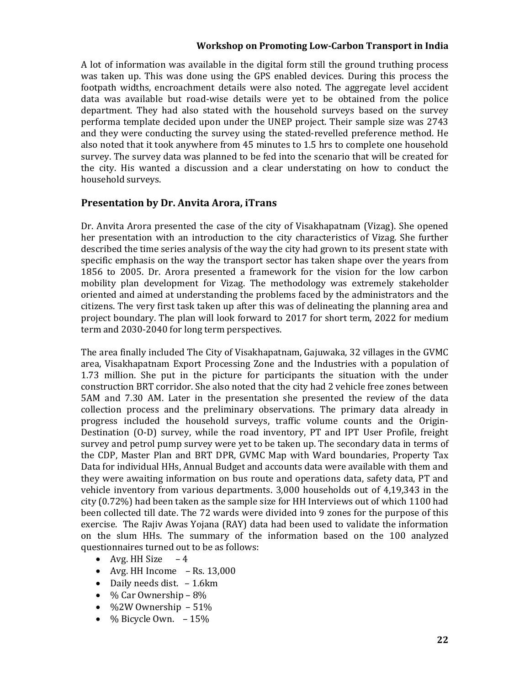A lot of information was available in the digital form still the ground truthing process was taken up. This was done using the GPS enabled devices. During this process the footpath widths, encroachment details were also noted. The aggregate level accident data was available but road-wise details were yet to be obtained from the police department. They had also stated with the household surveys based on the survey performa template decided upon under the UNEP project. Their sample size was 2743 and they were conducting the survey using the stated-revelled preference method. He also noted that it took anywhere from 45 minutes to 1.5 hrs to complete one household survey. The survey data was planned to be fed into the scenario that will be created for the city. His wanted a discussion and a clear understating on how to conduct the household surveys.

### **Presentation by Dr. Anvita Arora, iTrans**

Dr. Anvita Arora presented the case of the city of Visakhapatnam (Vizag). She opened her presentation with an introduction to the city characteristics of Vizag. She further described the time series analysis of the way the city had grown to its present state with specific emphasis on the way the transport sector has taken shape over the years from 1856 to 2005. Dr. Arora presented a framework for the vision for the low carbon mobility plan development for Vizag. The methodology was extremely stakeholder oriented and aimed at understanding the problems faced by the administrators and the citizens. The very first task taken up after this was of delineating the planning area and project boundary. The plan will look forward to 2017 for short term, 2022 for medium term and 2030-2040 for long term perspectives.

The area finally included The City of Visakhapatnam, Gajuwaka, 32 villages in the GVMC area, Visakhapatnam Export Processing Zone and the Industries with a population of 1.73 million. She put in the picture for participants the situation with the under construction BRT corridor. She also noted that the city had 2 vehicle free zones between 5AM and 7.30 AM. Later in the presentation she presented the review of the data collection process and the preliminary observations. The primary data already in progress included the household surveys, traffic volume counts and the Origin-Destination (O-D) survey, while the road inventory, PT and IPT User Profile, freight survey and petrol pump survey were yet to be taken up. The secondary data in terms of the CDP, Master Plan and BRT DPR, GVMC Map with Ward boundaries, Property Tax Data for individual HHs, Annual Budget and accounts data were available with them and they were awaiting information on bus route and operations data, safety data, PT and vehicle inventory from various departments.  $3,000$  households out of  $4,19,343$  in the city  $(0.72\%)$  had been taken as the sample size for HH Interviews out of which 1100 had been collected till date. The 72 wards were divided into 9 zones for the purpose of this exercise. The Rajiv Awas Yojana (RAY) data had been used to validate the information on the slum HHs. The summary of the information based on the 100 analyzed questionnaires turned out to be as follows:

- Avg. HH Size  $-4$
- Avg. HH Income  $-$  Rs. 13,000
- Daily needs dist.  $-1.6km$
- $\bullet$  % Car Ownership 8%
- %2W Ownership  $-51%$
- $\bullet$  % Bicycle Own.  $-15%$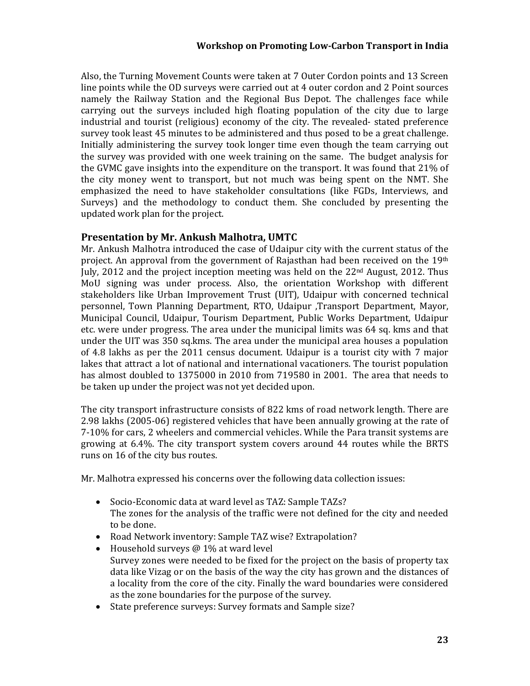Also, the Turning Movement Counts were taken at 7 Outer Cordon points and 13 Screen line points while the OD surveys were carried out at  $4$  outer cordon and  $2$  Point sources namely the Railway Station and the Regional Bus Depot. The challenges face while carrying out the surveys included high floating population of the city due to large industrial and tourist (religious) economy of the city. The revealed- stated preference survey took least 45 minutes to be administered and thus posed to be a great challenge. Initially administering the survey took longer time even though the team carrying out the survey was provided with one week training on the same. The budget analysis for the GVMC gave insights into the expenditure on the transport. It was found that  $21\%$  of the city money went to transport, but not much was being spent on the NMT. She emphasized the need to have stakeholder consultations (like FGDs, Interviews, and Surveys) and the methodology to conduct them. She concluded by presenting the updated work plan for the project.

### **Presentation by Mr. Ankush Malhotra, UMTC**

Mr. Ankush Malhotra introduced the case of Udaipur city with the current status of the project. An approval from the government of Rajasthan had been received on the  $19<sup>th</sup>$ July, 2012 and the project inception meeting was held on the  $22<sup>nd</sup>$  August, 2012. Thus MoU signing was under process. Also, the orientation Workshop with different stakeholders like Urban Improvement Trust (UIT), Udaipur with concerned technical personnel, Town Planning Department, RTO, Udaipur ,Transport Department, Mayor, Municipal Council, Udaipur, Tourism Department, Public Works Department, Udaipur etc. were under progress. The area under the municipal limits was 64 sq. kms and that under the UIT was 350 sq.kms. The area under the municipal area houses a population of 4.8 lakhs as per the 2011 census document. Udaipur is a tourist city with 7 major lakes that attract a lot of national and international vacationers. The tourist population has almost doubled to 1375000 in 2010 from 719580 in 2001. The area that needs to be taken up under the project was not yet decided upon.

The city transport infrastructure consists of 822 kms of road network length. There are 2.98 lakhs (2005-06) registered vehicles that have been annually growing at the rate of 7-10% for cars, 2 wheelers and commercial vehicles. While the Para transit systems are growing at  $6.4\%$ . The city transport system covers around  $44$  routes while the BRTS runs on 16 of the city bus routes.

Mr. Malhotra expressed his concerns over the following data collection issues:

- Socio-Economic data at ward level as TAZ: Sample TAZs? The zones for the analysis of the traffic were not defined for the city and needed to be done.
- Road Network inventory: Sample TAZ wise? Extrapolation?
- Household surveys  $@1\%$  at ward level Survey zones were needed to be fixed for the project on the basis of property tax data like Vizag or on the basis of the way the city has grown and the distances of a locality from the core of the city. Finally the ward boundaries were considered as the zone boundaries for the purpose of the survey.
- State preference surveys: Survey formats and Sample size?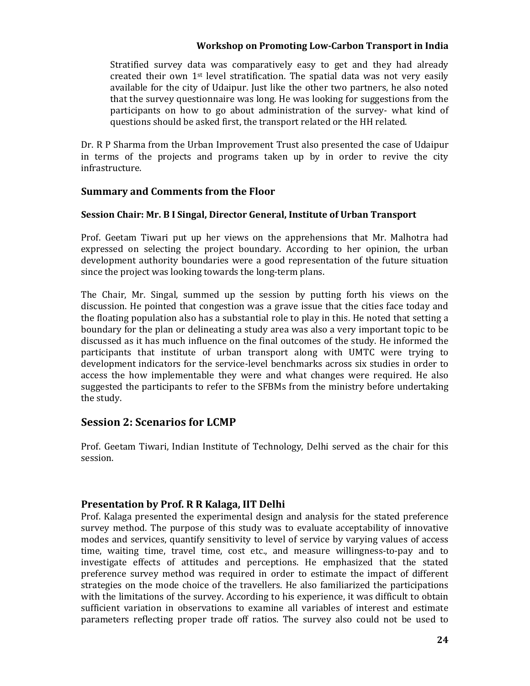Stratified survey data was comparatively easy to get and they had already created their own  $1<sup>st</sup>$  level stratification. The spatial data was not very easily available for the city of Udaipur. Just like the other two partners, he also noted that the survey questionnaire was long. He was looking for suggestions from the participants on how to go about administration of the survey- what kind of questions should be asked first, the transport related or the HH related.

Dr. R P Sharma from the Urban Improvement Trust also presented the case of Udaipur in terms of the projects and programs taken up by in order to revive the city infrastructure. 

### **Summary and Comments from the Floor**

### **Session Chair: Mr. B I Singal, Director General, Institute of Urban Transport**

Prof. Geetam Tiwari put up her views on the apprehensions that Mr. Malhotra had expressed on selecting the project boundary. According to her opinion, the urban development authority boundaries were a good representation of the future situation since the project was looking towards the long-term plans.

The Chair, Mr. Singal, summed up the session by putting forth his views on the discussion. He pointed that congestion was a grave issue that the cities face today and the floating population also has a substantial role to play in this. He noted that setting a boundary for the plan or delineating a study area was also a very important topic to be discussed as it has much influence on the final outcomes of the study. He informed the participants that institute of urban transport along with UMTC were trying to development indicators for the service-level benchmarks across six studies in order to access the how implementable they were and what changes were required. He also suggested the participants to refer to the SFBMs from the ministry before undertaking the study.

# **Session 2: Scenarios for LCMP**

Prof. Geetam Tiwari, Indian Institute of Technology, Delhi served as the chair for this session. 

### **Presentation by Prof. R R Kalaga, IIT Delhi**

Prof. Kalaga presented the experimental design and analysis for the stated preference survey method. The purpose of this study was to evaluate acceptability of innovative modes and services, quantify sensitivity to level of service by varying values of access time, waiting time, travel time, cost etc., and measure willingness-to-pay and to investigate effects of attitudes and perceptions. He emphasized that the stated preference survey method was required in order to estimate the impact of different strategies on the mode choice of the travellers. He also familiarized the participations with the limitations of the survey. According to his experience, it was difficult to obtain sufficient variation in observations to examine all variables of interest and estimate parameters reflecting proper trade off ratios. The survey also could not be used to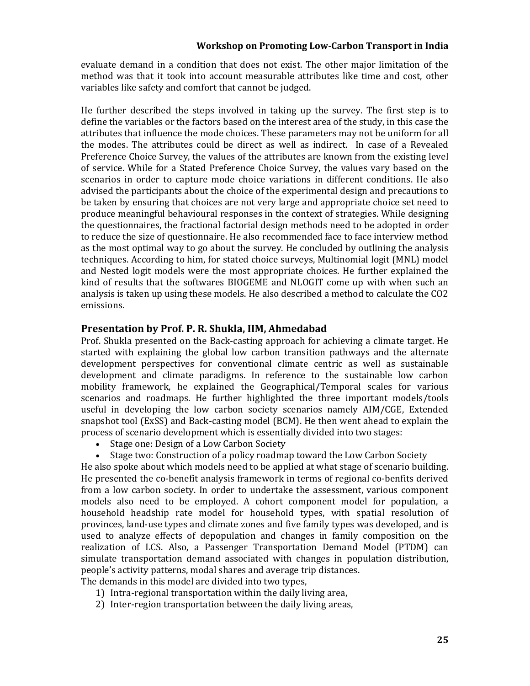evaluate demand in a condition that does not exist. The other major limitation of the method was that it took into account measurable attributes like time and cost, other variables like safety and comfort that cannot be judged.

He further described the steps involved in taking up the survey. The first step is to define the variables or the factors based on the interest area of the study, in this case the attributes that influence the mode choices. These parameters may not be uniform for all the modes. The attributes could be direct as well as indirect. In case of a Revealed Preference Choice Survey, the values of the attributes are known from the existing level of service. While for a Stated Preference Choice Survey, the values vary based on the scenarios in order to capture mode choice variations in different conditions. He also advised the participants about the choice of the experimental design and precautions to be taken by ensuring that choices are not very large and appropriate choice set need to produce meaningful behavioural responses in the context of strategies. While designing the questionnaires, the fractional factorial design methods need to be adopted in order to reduce the size of questionnaire. He also recommended face to face interview method as the most optimal way to go about the survey. He concluded by outlining the analysis techniques. According to him, for stated choice surveys, Multinomial logit (MNL) model and Nested logit models were the most appropriate choices. He further explained the kind of results that the softwares BIOGEME and NLOGIT come up with when such an analysis is taken up using these models. He also described a method to calculate the CO2 emissions. 

### **Presentation by Prof. P. R. Shukla, IIM, Ahmedabad**

Prof. Shukla presented on the Back-casting approach for achieving a climate target. He started with explaining the global low carbon transition pathways and the alternate development perspectives for conventional climate centric as well as sustainable development and climate paradigms. In reference to the sustainable low carbon mobility framework, he explained the Geographical/Temporal scales for various scenarios and roadmaps. He further highlighted the three important models/tools useful in developing the low carbon society scenarios namely AIM/CGE, Extended snapshot tool  $(ExSS)$  and Back-casting model  $(BCM)$ . He then went ahead to explain the process of scenario development which is essentially divided into two stages:

- Stage one: Design of a Low Carbon Society
- Stage two: Construction of a policy roadmap toward the Low Carbon Society

He also spoke about which models need to be applied at what stage of scenario building. He presented the co-benefit analysis framework in terms of regional co-benfits derived from a low carbon society. In order to undertake the assessment, various component models also need to be employed. A cohort component model for population, a household headship rate model for household types, with spatial resolution of provinces, land-use types and climate zones and five family types was developed, and is used to analyze effects of depopulation and changes in family composition on the realization of LCS. Also, a Passenger Transportation Demand Model (PTDM) can simulate transportation demand associated with changes in population distribution, people's activity patterns, modal shares and average trip distances. The demands in this model are divided into two types,

- 1) Intra-regional transportation within the daily living area,
- 2) Inter-region transportation between the daily living areas,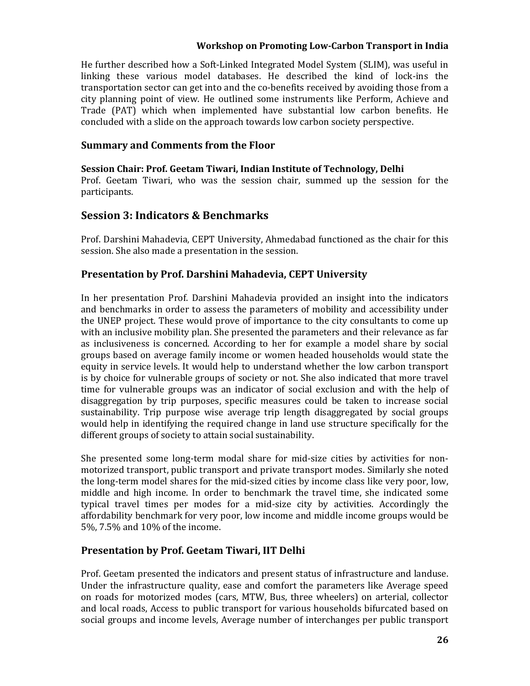He further described how a Soft-Linked Integrated Model System (SLIM), was useful in linking these various model databases. He described the kind of lock-ins the transportation sector can get into and the co-benefits received by avoiding those from a city planning point of view. He outlined some instruments like Perform, Achieve and Trade (PAT) which when implemented have substantial low carbon benefits. He concluded with a slide on the approach towards low carbon society perspective.

### **Summary and Comments from the Floor**

**Session Chair: Prof. Geetam Tiwari, Indian Institute of Technology, Delhi** Prof. Geetam Tiwari, who was the session chair, summed up the session for the participants. 

# **Session 3: Indicators & Benchmarks**

Prof. Darshini Mahadevia, CEPT University, Ahmedabad functioned as the chair for this session. She also made a presentation in the session.

# **Presentation by Prof. Darshini Mahadevia, CEPT University**

In her presentation Prof. Darshini Mahadevia provided an insight into the indicators and benchmarks in order to assess the parameters of mobility and accessibility under the UNEP project. These would prove of importance to the city consultants to come up with an inclusive mobility plan. She presented the parameters and their relevance as far as inclusiveness is concerned. According to her for example a model share by social groups based on average family income or women headed households would state the equity in service levels. It would help to understand whether the low carbon transport is by choice for vulnerable groups of society or not. She also indicated that more travel time for vulnerable groups was an indicator of social exclusion and with the help of disaggregation by trip purposes, specific measures could be taken to increase social sustainability. Trip purpose wise average trip length disaggregated by social groups would help in identifying the required change in land use structure specifically for the different groups of society to attain social sustainability.

She presented some long-term modal share for mid-size cities by activities for nonmotorized transport, public transport and private transport modes. Similarly she noted the long-term model shares for the mid-sized cities by income class like very poor, low, middle and high income. In order to benchmark the travel time, she indicated some typical travel times per modes for a mid‐size city by activities. Accordingly the affordability benchmark for very poor, low income and middle income groups would be 5%, 7.5% and 10% of the income.

### **Presentation by Prof. Geetam Tiwari, IIT Delhi**

Prof. Geetam presented the indicators and present status of infrastructure and landuse. Under the infrastructure quality, ease and comfort the parameters like Average speed on roads for motorized modes (cars, MTW, Bus, three wheelers) on arterial, collector and local roads, Access to public transport for various households bifurcated based on social groups and income levels, Average number of interchanges per public transport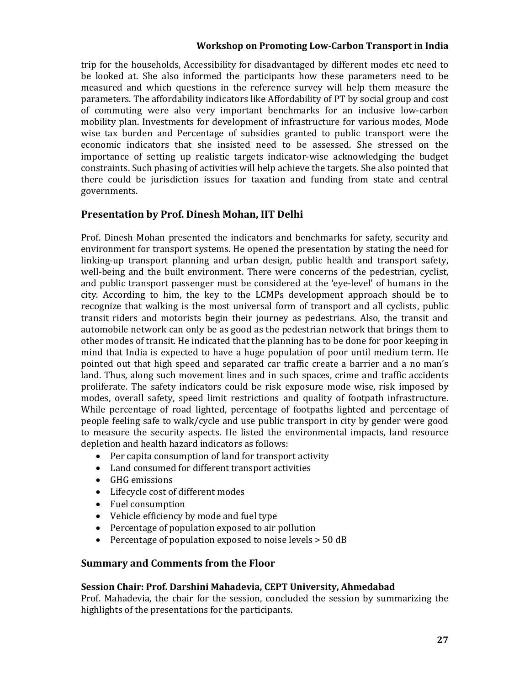trip for the households, Accessibility for disadvantaged by different modes etc need to be looked at. She also informed the participants how these parameters need to be measured and which questions in the reference survey will help them measure the parameters. The affordability indicators like Affordability of PT by social group and cost of commuting were also very important benchmarks for an inclusive low-carbon mobility plan. Investments for development of infrastructure for various modes, Mode wise tax burden and Percentage of subsidies granted to public transport were the economic indicators that she insisted need to be assessed. She stressed on the importance of setting up realistic targets indicator-wise acknowledging the budget constraints. Such phasing of activities will help achieve the targets. She also pointed that there could be jurisdiction issues for taxation and funding from state and central governments. 

# **Presentation by Prof. Dinesh Mohan, IIT Delhi**

Prof. Dinesh Mohan presented the indicators and benchmarks for safety, security and environment for transport systems. He opened the presentation by stating the need for linking-up transport planning and urban design, public health and transport safety, well-being and the built environment. There were concerns of the pedestrian, cyclist, and public transport passenger must be considered at the 'eye-level' of humans in the city. According to him, the key to the LCMPs development approach should be to recognize that walking is the most universal form of transport and all cyclists, public transit riders and motorists begin their journey as pedestrians. Also, the transit and automobile network can only be as good as the pedestrian network that brings them to other modes of transit. He indicated that the planning has to be done for poor keeping in mind that India is expected to have a huge population of poor until medium term. He pointed out that high speed and separated car traffic create a barrier and a no man's land. Thus, along such movement lines and in such spaces, crime and traffic accidents proliferate. The safety indicators could be risk exposure mode wise, risk imposed by modes, overall safety, speed limit restrictions and quality of footpath infrastructure. While percentage of road lighted, percentage of footpaths lighted and percentage of people feeling safe to walk/cycle and use public transport in city by gender were good to measure the security aspects. He listed the environmental impacts, land resource depletion and health hazard indicators as follows:

- Per capita consumption of land for transport activity
- Land consumed for different transport activities
- GHG emissions
- Lifecycle cost of different modes
- Fuel consumption
- Vehicle efficiency by mode and fuel type
- Percentage of population exposed to air pollution
- Percentage of population exposed to noise levels  $> 50$  dB

### **Summary and Comments from the Floor**

### **Session Chair: Prof. Darshini Mahadevia, CEPT University, Ahmedabad**

Prof. Mahadevia, the chair for the session, concluded the session by summarizing the highlights of the presentations for the participants.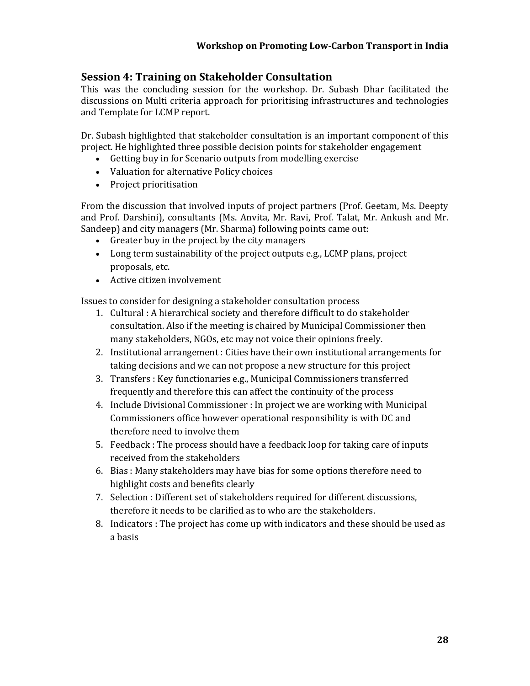# **Session 4: Training on Stakeholder Consultation**

This was the concluding session for the workshop. Dr. Subash Dhar facilitated the discussions on Multi criteria approach for prioritising infrastructures and technologies and Template for LCMP report.

Dr. Subash highlighted that stakeholder consultation is an important component of this project. He highlighted three possible decision points for stakeholder engagement

- Getting buy in for Scenario outputs from modelling exercise
- Valuation for alternative Policy choices
- Project prioritisation

From the discussion that involved inputs of project partners (Prof. Geetam, Ms. Deepty and Prof. Darshini), consultants (Ms. Anvita, Mr. Ravi, Prof. Talat, Mr. Ankush and Mr. Sandeep) and city managers (Mr. Sharma) following points came out:

- Greater buy in the project by the city managers
- Long term sustainability of the project outputs e.g., LCMP plans, project proposals, etc.
- Active citizen involvement

Issues to consider for designing a stakeholder consultation process

- 1. Cultural: A hierarchical society and therefore difficult to do stakeholder consultation. Also if the meeting is chaired by Municipal Commissioner then many stakeholders, NGOs, etc may not voice their opinions freely.
- 2. Institutional arrangement : Cities have their own institutional arrangements for taking decisions and we can not propose a new structure for this project
- 3. Transfers : Key functionaries e.g., Municipal Commissioners transferred frequently and therefore this can affect the continuity of the process
- 4. Include Divisional Commissioner : In project we are working with Municipal Commissioners office however operational responsibility is with DC and therefore need to involve them
- 5. Feedback : The process should have a feedback loop for taking care of inputs received from the stakeholders
- 6. Bias: Many stakeholders may have bias for some options therefore need to highlight costs and benefits clearly
- 7. Selection : Different set of stakeholders required for different discussions, therefore it needs to be clarified as to who are the stakeholders.
- 8. Indicators : The project has come up with indicators and these should be used as a basis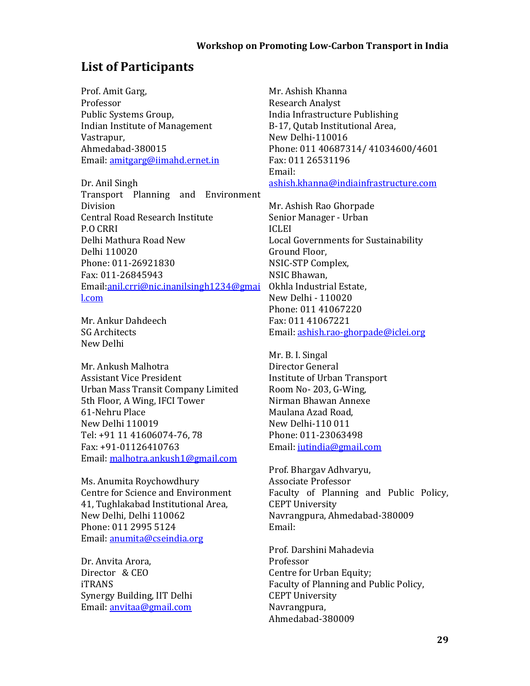# **List of Participants**

Prof. Amit Garg, Professor Public Systems Group, Indian Institute of Management Vastrapur, Ahmedabad‐380015 Email: amitgarg@iimahd.ernet.in

Dr. Anil Singh Transport Planning and Environment Division Central Road Research Institute P.O CRRI Delhi Mathura Road New Delhi 110020 Phone: 011‐26921830 Fax: 011‐26845943 Email:anil.crri@nic.inanilsingh1234@gmai l.com

Mr. Ankur Dahdeech SG Architects New Delhi 

Mr. Ankush Malhotra **Assistant Vice President** Urban Mass Transit Company Limited 5th Floor, A Wing, IFCI Tower 61‐Nehru Place New Delhi 110019 Tel: +91 11 41606074-76, 78 Fax: +91‐01126410763 Email: malhotra.ankush1@gmail.com

Ms. Anumita Roychowdhury Centre for Science and Environment 41, Tughlakabad Institutional Area, New Delhi, Delhi 110062 Phone: 011 2995 5124 Email: anumita@cseindia.org

Dr. Anvita Arora, Director & CEO iTRANS Synergy Building, IIT Delhi Email: anvitaa@gmail.com

Mr. Ashish Khanna Research Analyst India Infrastructure Publishing B-17, Qutab Institutional Area, New Delhi‐110016 Phone: 011 40687314/ 41034600/4601 Fax: 011 26531196 Email: ashish.khanna@indiainfrastructure.com

Mr. Ashish Rao Ghorpade Senior Manager - Urban ICLEI Local Governments for Sustainability Ground Floor, NSIC‐STP Complex, NSIC Bhawan, Okhla Industrial Estate, New Delhi - 110020 Phone: 011 41067220 Fax: 011 41067221 Email: ashish.rao‐ghorpade@iclei.org

Mr. B. I. Singal Director General Institute of Urban Transport Room No- 203, G-Wing, Nirman Bhawan Annexe Maulana Azad Road, New Delhi‐110 011 Phone: 011‐23063498 Email: jutindia@gmail.com

Prof. Bhargav Adhvaryu, Associate Professor Faculty of Planning and Public Policy, **CEPT** University Navrangpura, Ahmedabad-380009 Email: 

Prof. Darshini Mahadevia Professor Centre for Urban Equity; Faculty of Planning and Public Policy, **CEPT** University Navrangpura, Ahmedabad‐380009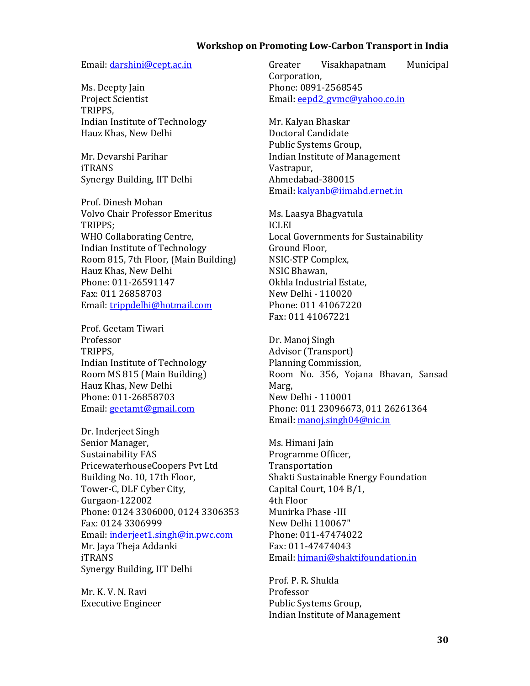### Email: darshini@cept.ac.in

Ms. Deepty Jain Project Scientist TRIPPS, Indian Institute of Technology Hauz Khas, New Delhi

Mr. Devarshi Parihar iTRANS Synergy Building, IIT Delhi

Prof. Dinesh Mohan Volvo Chair Professor Emeritus TRIPPS; WHO Collaborating Centre, Indian Institute of Technology Room 815, 7th Floor, (Main Building) Hauz Khas, New Delhi Phone: 011‐26591147 Fax: 011 26858703 Email: trippdelhi@hotmail.com

Prof. Geetam Tiwari Professor TRIPPS, Indian Institute of Technology Room MS 815 (Main Building) Hauz Khas, New Delhi Phone: 011‐26858703 Email: geetamt@gmail.com

Dr. Inderjeet Singh Senior Manager, Sustainability FAS PricewaterhouseCoopers Pvt Ltd Building No. 10, 17th Floor, Tower-C, DLF Cyber City, Gurgaon‐122002 Phone: 0124 3306000, 0124 3306353 Fax: 0124 3306999 Email: inderjeet1.singh@in.pwc.com Mr. Jaya Theja Addanki iTRANS Synergy Building, IIT Delhi

Mr. K. V. N. Ravi Executive Engineer  Greater Visakhapatnam Municipal Corporation, Phone: 0891‐2568545 Email: eepd2\_gymc@yahoo.co.in

Mr. Kalyan Bhaskar Doctoral Candidate Public Systems Group, Indian Institute of Management Vastrapur, Ahmedabad‐380015 Email: kalyanb@iimahd.ernet.in

Ms. Laasya Bhagvatula ICLEI Local Governments for Sustainability Ground Floor, NSIC‐STP Complex, NSIC Bhawan, Okhla Industrial Estate, New Delhi - 110020 Phone: 011 41067220 Fax: 011 41067221 

Dr. Manoj Singh Advisor (Transport) Planning Commission, Room No. 356, Yojana Bhavan, Sansad Marg, New Delhi - 110001 Phone: 011 23096673, 011 26261364 Email: manoj.singh04@nic.in

Ms. Himani Jain Programme Officer, Transportation Shakti Sustainable Energy Foundation Capital Court, 104 B/1, 4th Floor Munirka Phase ‐III New Delhi 110067" Phone: 011‐47474022 Fax: 011‐47474043 Email: himani@shaktifoundation.in

Prof. P. R. Shukla Professor Public Systems Group, Indian Institute of Management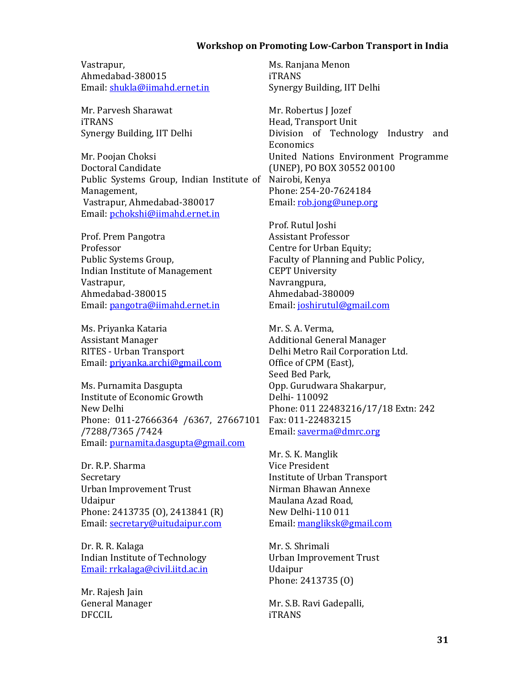Vastrapur, Ahmedabad‐380015 Email: shukla@iimahd.ernet.in

Mr. Parvesh Sharawat iTRANS Synergy Building, IIT Delhi

Mr. Poojan Choksi Doctoral Candidate Public Systems Group, Indian Institute of Nairobi, Kenya Management, Vastrapur, Ahmedabad-380017 Email: pchokshi@iimahd.ernet.in

Prof. Prem Pangotra Professor Public Systems Group, Indian Institute of Management Vastrapur, Ahmedabad‐380015 Email: pangotra@iimahd.ernet.in

Ms. Priyanka Kataria **Assistant Manager** RITES - Urban Transport Email: priyanka.archi@gmail.com

Ms. Purnamita Dasgupta Institute of Economic Growth New Delhi Phone: 011-27666364 /6367, 27667101 /7288/7365 /7424 Email: purnamita.dasgupta@gmail.com

Dr. R.P. Sharma Secretary Urban Improvement Trust Udaipur Phone: 2413735 (0), 2413841 (R) Email: secretary@uitudaipur.com

Dr. R. R. Kalaga Indian Institute of Technology Email: rrkalaga@civil.iitd.ac.in

Mr. Rajesh Jain General Manager DFCCIL 

Ms. Ranjana Menon iTRANS Synergy Building, IIT Delhi

Mr. Robertus J Jozef Head, Transport Unit Division of Technology Industry and Economics United Nations Environment Programme (UNEP), PO BOX 30552 00100 Phone: 254‐20‐7624184 Email: rob.jong@unep.org

Prof. Rutul Joshi Assistant Professor Centre for Urban Equity; Faculty of Planning and Public Policy, **CEPT** University Navrangpura, Ahmedabad‐380009 Email: joshirutul@gmail.com

Mr. S. A. Verma, Additional General Manager Delhi Metro Rail Corporation Ltd. Office of CPM (East), Seed Bed Park, Opp. Gurudwara Shakarpur, Delhi‐ 110092 Phone: 011 22483216/17/18 Extn: 242 Fax: 011‐22483215 Email: saverma@dmrc.org

Mr. S. K. Manglik Vice President Institute of Urban Transport Nirman Bhawan Annexe Maulana Azad Road, New Delhi‐110 011 Email: mangliksk@gmail.com

Mr. S. Shrimali Urban Improvement Trust Udaipur Phone: 2413735 (0)

Mr. S.B. Ravi Gadepalli, iTRANS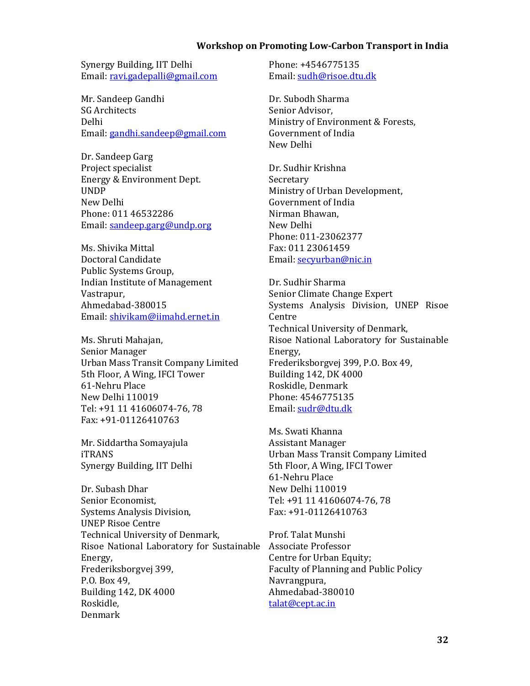Synergy Building, IIT Delhi Email: ravi.gadepalli@gmail.com

Mr. Sandeep Gandhi SG Architects Delhi Email: gandhi.sandeep@gmail.com

Dr. Sandeep Garg Project specialist Energy & Environment Dept. UNDP New Delhi Phone: 011 46532286 Email: sandeep.garg@undp.org

Ms. Shivika Mittal Doctoral Candidate Public Systems Group, Indian Institute of Management Vastrapur, Ahmedabad‐380015 Email: shivikam@iimahd.ernet.in

Ms. Shruti Mahajan, Senior Manager Urban Mass Transit Company Limited 5th Floor, A Wing, IFCI Tower 61‐Nehru Place New Delhi 110019 Tel: +91 11 41606074-76, 78 Fax: +91‐01126410763 

Mr. Siddartha Somayajula iTRANS Synergy Building, IIT Delhi

Dr. Subash Dhar Senior Economist, Systems Analysis Division, **UNEP Risoe Centre** Technical University of Denmark, Risoe National Laboratory for Sustainable Associate Professor Energy, Frederiksborgvej 399, P.O. Box 49, Building 142, DK 4000 Roskidle, Denmark 

Phone: +4546775135 Email: sudh@risoe.dtu.dk

Dr. Subodh Sharma Senior Advisor, Ministry of Environment & Forests, Government of India New Delhi 

Dr. Sudhir Krishna Secretary Ministry of Urban Development, Government of India Nirman Bhawan, New Delhi Phone: 011‐23062377 Fax: 011 23061459 Email: secyurban@nic.in

Dr. Sudhir Sharma Senior Climate Change Expert Systems Analysis Division, UNEP Risoe Centre Technical University of Denmark, Risoe National Laboratory for Sustainable Energy, Frederiksborgvej 399, P.O. Box 49, Building 142, DK 4000 Roskidle, Denmark Phone: 4546775135 Email: sudr@dtu.dk

Ms. Swati Khanna **Assistant Manager** Urban Mass Transit Company Limited 5th Floor, A Wing, IFCI Tower 61‐Nehru Place New Delhi 110019 Tel: +91 11 41606074-76, 78 Fax: +91‐01126410763 

Prof. Talat Munshi Centre for Urban Equity; Faculty of Planning and Public Policy Navrangpura, Ahmedabad‐380010 talat@cept.ac.in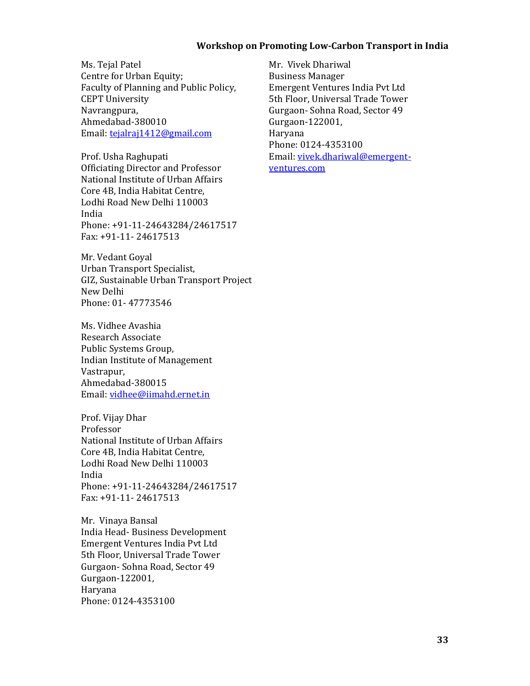Ms. Tejal Patel Centre for Urban Equity; Faculty of Planning and Public Policy, **CEPT University** Navrangpura, Ahmedabad‐380010 Email: tejalraj1412@gmail.com

Prof. Usha Raghupati Officiating Director and Professor National Institute of Urban Affairs Core 4B, India Habitat Centre, Lodhi Road New Delhi 110003 India Phone: +91-11-24643284/24617517 Fax: +91-11- 24617513

Mr. Vedant Goyal Urban Transport Specialist, GIZ, Sustainable Urban Transport Project New Delhi Phone: 01‐ 47773546 

Ms. Vidhee Avashia Research Associate Public Systems Group, Indian Institute of Management Vastrapur, Ahmedabad‐380015 Email: vidhee@iimahd.ernet.in

Prof. Vijay Dhar Professor National Institute of Urban Affairs Core 4B, India Habitat Centre, Lodhi Road New Delhi 110003 India Phone: +91-11-24643284/24617517 Fax: +91-11- 24617513

Mr. Vinaya Bansal India Head- Business Development Emergent Ventures India Pvt Ltd 5th Floor, Universal Trade Tower Gurgaon- Sohna Road, Sector 49 Gurgaon‐122001, Haryana Phone: 0124‐4353100 

Mr. Vivek Dhariwal Business Manager Emergent Ventures India Pvt Ltd 5th Floor, Universal Trade Tower Gurgaon- Sohna Road, Sector 49 Gurgaon‐122001, Haryana Phone: 0124‐4353100 Email: vivek.dhariwal@emergentventures.com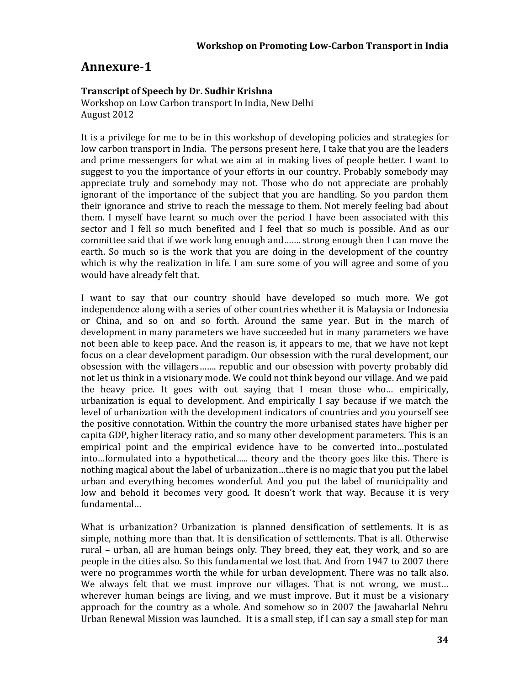# **Annexure‐1**

### **Transcript of Speech by Dr. Sudhir Krishna**

Workshop on Low Carbon transport In India, New Delhi August 2012

It is a privilege for me to be in this workshop of developing policies and strategies for low carbon transport in India. The persons present here, I take that you are the leaders and prime messengers for what we aim at in making lives of people better. I want to suggest to you the importance of your efforts in our country. Probably somebody may appreciate truly and somebody may not. Those who do not appreciate are probably ignorant of the importance of the subject that you are handling. So you pardon them their ignorance and strive to reach the message to them. Not merely feeling bad about them. I myself have learnt so much over the period I have been associated with this sector and I fell so much benefited and I feel that so much is possible. And as our committee said that if we work long enough and....... strong enough then I can move the earth. So much so is the work that you are doing in the development of the country which is why the realization in life. I am sure some of you will agree and some of you would have already felt that.

I want to say that our country should have developed so much more. We got independence along with a series of other countries whether it is Malaysia or Indonesia or China, and so on and so forth. Around the same year. But in the march of development in many parameters we have succeeded but in many parameters we have not been able to keep pace. And the reason is, it appears to me, that we have not kept focus on a clear development paradigm. Our obsession with the rural development, our obsession with the villagers....... republic and our obsession with poverty probably did not let us think in a visionary mode. We could not think beyond our village. And we paid the heavy price. It goes with out saying that I mean those who... empirically, urbanization is equal to development. And empirically I say because if we match the level of urbanization with the development indicators of countries and you yourself see the positive connotation. Within the country the more urbanised states have higher per capita GDP, higher literacy ratio, and so many other development parameters. This is an empirical point and the empirical evidence have to be converted into...postulated into…formulated into a hypothetical….. theory and the theory goes like this. There is nothing magical about the label of urbanization...there is no magic that you put the label urban and everything becomes wonderful. And you put the label of municipality and low and behold it becomes very good. It doesn't work that way. Because it is very fundamental… 

What is urbanization? Urbanization is planned densification of settlements. It is as simple, nothing more than that. It is densification of settlements. That is all. Otherwise rural – urban, all are human beings only. They breed, they eat, they work, and so are people in the cities also. So this fundamental we lost that. And from 1947 to 2007 there were no programmes worth the while for urban development. There was no talk also. We always felt that we must improve our villages. That is not wrong, we must... wherever human beings are living, and we must improve. But it must be a visionary approach for the country as a whole. And somehow so in 2007 the Jawaharlal Nehru Urban Renewal Mission was launched. It is a small step, if I can say a small step for man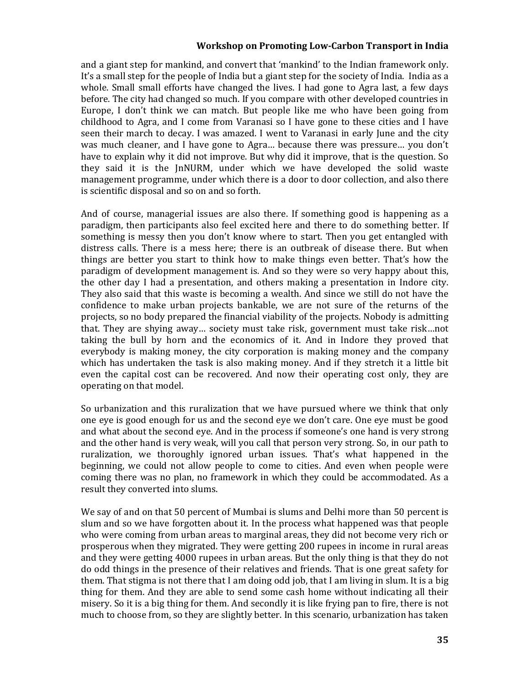and a giant step for mankind, and convert that 'mankind' to the Indian framework only. It's a small step for the people of India but a giant step for the society of India. India as a whole. Small small efforts have changed the lives. I had gone to Agra last, a few days before. The city had changed so much. If you compare with other developed countries in Europe, I don't think we can match. But people like me who have been going from childhood to Agra, and I come from Varanasi so I have gone to these cities and I have seen their march to decay. I was amazed. I went to Varanasi in early June and the city was much cleaner, and I have gone to Agra... because there was pressure... you don't have to explain why it did not improve. But why did it improve, that is the question. So they said it is the InNURM, under which we have developed the solid waste management programme, under which there is a door to door collection, and also there is scientific disposal and so on and so forth.

And of course, managerial issues are also there. If something good is happening as a paradigm, then participants also feel excited here and there to do something better. If something is messy then you don't know where to start. Then you get entangled with distress calls. There is a mess here; there is an outbreak of disease there. But when things are better you start to think how to make things even better. That's how the paradigm of development management is. And so they were so very happy about this, the other day I had a presentation, and others making a presentation in Indore city. They also said that this waste is becoming a wealth. And since we still do not have the confidence to make urban projects bankable, we are not sure of the returns of the projects, so no body prepared the financial viability of the projects. Nobody is admitting that. They are shying away... society must take risk, government must take risk...not taking the bull by horn and the economics of it. And in Indore they proved that everybody is making money, the city corporation is making money and the company which has undertaken the task is also making money. And if they stretch it a little bit even the capital cost can be recovered. And now their operating cost only, they are operating on that model.

So urbanization and this ruralization that we have pursued where we think that only one eye is good enough for us and the second eye we don't care. One eye must be good and what about the second eve. And in the process if someone's one hand is very strong and the other hand is very weak, will you call that person very strong. So, in our path to ruralization, we thoroughly ignored urban issues. That's what happened in the beginning, we could not allow people to come to cities. And even when people were coming there was no plan, no framework in which they could be accommodated. As a result they converted into slums.

We say of and on that 50 percent of Mumbai is slums and Delhi more than 50 percent is slum and so we have forgotten about it. In the process what happened was that people who were coming from urban areas to marginal areas, they did not become very rich or prosperous when they migrated. They were getting 200 rupees in income in rural areas and they were getting 4000 rupees in urban areas. But the only thing is that they do not do odd things in the presence of their relatives and friends. That is one great safety for them. That stigma is not there that I am doing odd job, that I am living in slum. It is a big thing for them. And they are able to send some cash home without indicating all their misery. So it is a big thing for them. And secondly it is like frying pan to fire, there is not much to choose from, so they are slightly better. In this scenario, urbanization has taken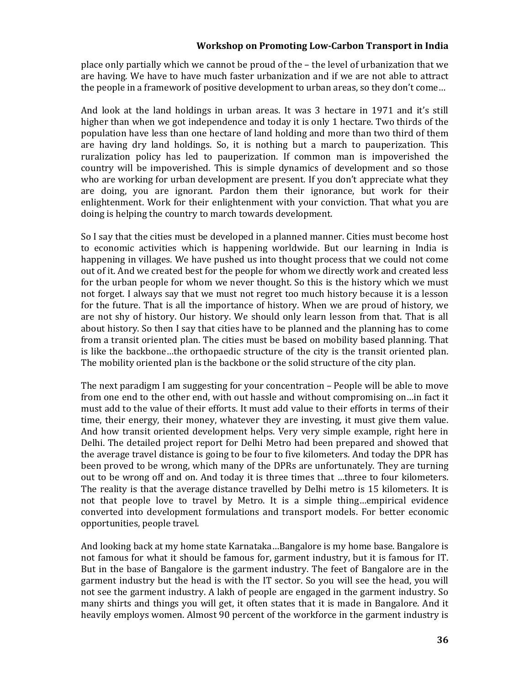place only partially which we cannot be proud of the  $-$  the level of urbanization that we are having. We have to have much faster urbanization and if we are not able to attract the people in a framework of positive development to urban areas, so they don't come...

And look at the land holdings in urban areas. It was 3 hectare in 1971 and it's still higher than when we got independence and today it is only 1 hectare. Two thirds of the population have less than one hectare of land holding and more than two third of them are having dry land holdings. So, it is nothing but a march to pauperization. This ruralization policy has led to pauperization. If common man is impoverished the country will be impoverished. This is simple dynamics of development and so those who are working for urban development are present. If you don't appreciate what they are doing, you are ignorant. Pardon them their ignorance, but work for their enlightenment. Work for their enlightenment with your conviction. That what you are doing is helping the country to march towards development.

So I say that the cities must be developed in a planned manner. Cities must become host to economic activities which is happening worldwide. But our learning in India is happening in villages. We have pushed us into thought process that we could not come out of it. And we created best for the people for whom we directly work and created less for the urban people for whom we never thought. So this is the history which we must not forget. I always say that we must not regret too much history because it is a lesson for the future. That is all the importance of history. When we are proud of history, we are not shy of history. Our history. We should only learn lesson from that. That is all about history. So then I say that cities have to be planned and the planning has to come from a transit oriented plan. The cities must be based on mobility based planning. That is like the backbone...the orthopaedic structure of the city is the transit oriented plan. The mobility oriented plan is the backbone or the solid structure of the city plan.

The next paradigm I am suggesting for your concentration  $-$  People will be able to move from one end to the other end, with out hassle and without compromising on...in fact it must add to the value of their efforts. It must add value to their efforts in terms of their time, their energy, their money, whatever they are investing, it must give them value. And how transit oriented development helps. Very very simple example, right here in Delhi. The detailed project report for Delhi Metro had been prepared and showed that the average travel distance is going to be four to five kilometers. And today the DPR has been proved to be wrong, which many of the DPRs are unfortunately. They are turning out to be wrong off and on. And today it is three times that ...three to four kilometers. The reality is that the average distance travelled by Delhi metro is 15 kilometers. It is not that people love to travel by Metro. It is a simple thing...empirical evidence converted into development formulations and transport models. For better economic opportunities, people travel.

And looking back at my home state Karnataka...Bangalore is my home base. Bangalore is not famous for what it should be famous for, garment industry, but it is famous for IT. But in the base of Bangalore is the garment industry. The feet of Bangalore are in the garment industry but the head is with the IT sector. So you will see the head, you will not see the garment industry. A lakh of people are engaged in the garment industry. So many shirts and things you will get, it often states that it is made in Bangalore. And it heavily employs women. Almost 90 percent of the workforce in the garment industry is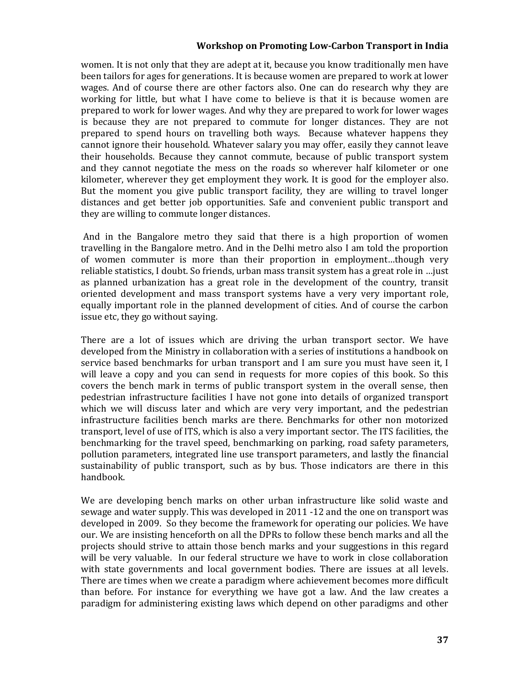women. It is not only that they are adept at it, because you know traditionally men have been tailors for ages for generations. It is because women are prepared to work at lower wages. And of course there are other factors also. One can do research why they are working for little, but what I have come to believe is that it is because women are prepared to work for lower wages. And why they are prepared to work for lower wages is because they are not prepared to commute for longer distances. They are not prepared to spend hours on travelling both ways. Because whatever happens they cannot ignore their household. Whatever salary you may offer, easily they cannot leave their households. Because they cannot commute, because of public transport system and they cannot negotiate the mess on the roads so wherever half kilometer or one kilometer, wherever they get employment they work. It is good for the employer also. But the moment you give public transport facility, they are willing to travel longer distances and get better job opportunities. Safe and convenient public transport and they are willing to commute longer distances.

And in the Bangalore metro they said that there is a high proportion of women travelling in the Bangalore metro. And in the Delhi metro also I am told the proportion of women commuter is more than their proportion in employment...though very reliable statistics, I doubt. So friends, urban mass transit system has a great role in …just as planned urbanization has a great role in the development of the country, transit oriented development and mass transport systems have a very very important role, equally important role in the planned development of cities. And of course the carbon issue etc, they go without saying.

There are a lot of issues which are driving the urban transport sector. We have developed from the Ministry in collaboration with a series of institutions a handbook on service based benchmarks for urban transport and I am sure you must have seen it, I will leave a copy and you can send in requests for more copies of this book. So this covers the bench mark in terms of public transport system in the overall sense, then pedestrian infrastructure facilities I have not gone into details of organized transport which we will discuss later and which are very very important, and the pedestrian infrastructure facilities bench marks are there. Benchmarks for other non motorized transport, level of use of ITS, which is also a very important sector. The ITS facilities, the benchmarking for the travel speed, benchmarking on parking, road safety parameters, pollution parameters, integrated line use transport parameters, and lastly the financial sustainability of public transport, such as by bus. Those indicators are there in this handbook. 

We are developing bench marks on other urban infrastructure like solid waste and sewage and water supply. This was developed in 2011  $-12$  and the one on transport was developed in 2009. So they become the framework for operating our policies. We have our. We are insisting henceforth on all the DPRs to follow these bench marks and all the projects should strive to attain those bench marks and your suggestions in this regard will be very valuable. In our federal structure we have to work in close collaboration with state governments and local government bodies. There are issues at all levels. There are times when we create a paradigm where achievement becomes more difficult than before. For instance for everything we have got a law. And the law creates a paradigm for administering existing laws which depend on other paradigms and other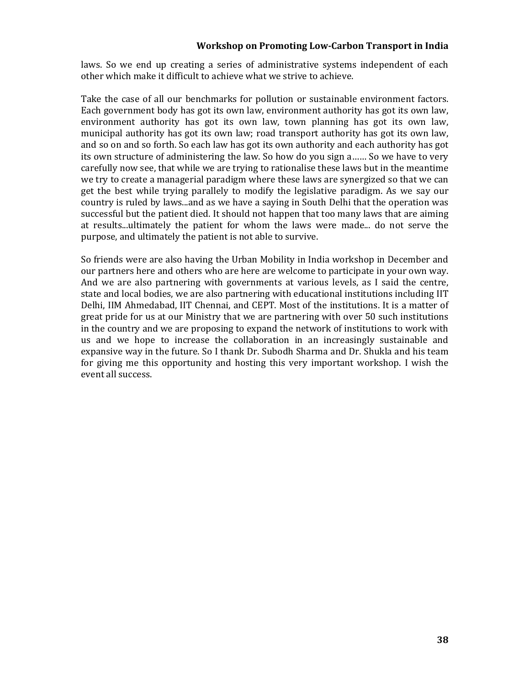laws. So we end up creating a series of administrative systems independent of each other which make it difficult to achieve what we strive to achieve.

Take the case of all our benchmarks for pollution or sustainable environment factors. Each government body has got its own law, environment authority has got its own law, environment authority has got its own law, town planning has got its own law, municipal authority has got its own law; road transport authority has got its own law, and so on and so forth. So each law has got its own authority and each authority has got its own structure of administering the law. So how do you sign a...... So we have to very carefully now see, that while we are trying to rationalise these laws but in the meantime we try to create a managerial paradigm where these laws are synergized so that we can get the best while trying parallely to modify the legislative paradigm. As we say our country is ruled by laws...and as we have a saying in South Delhi that the operation was successful but the patient died. It should not happen that too many laws that are aiming at results...ultimately the patient for whom the laws were made... do not serve the purpose, and ultimately the patient is not able to survive.

So friends were are also having the Urban Mobility in India workshop in December and our partners here and others who are here are welcome to participate in your own way. And we are also partnering with governments at various levels, as I said the centre, state and local bodies, we are also partnering with educational institutions including IIT Delhi, IIM Ahmedabad, IIT Chennai, and CEPT. Most of the institutions. It is a matter of great pride for us at our Ministry that we are partnering with over 50 such institutions in the country and we are proposing to expand the network of institutions to work with us and we hope to increase the collaboration in an increasingly sustainable and expansive way in the future. So I thank Dr. Subodh Sharma and Dr. Shukla and his team for giving me this opportunity and hosting this very important workshop. I wish the event all success.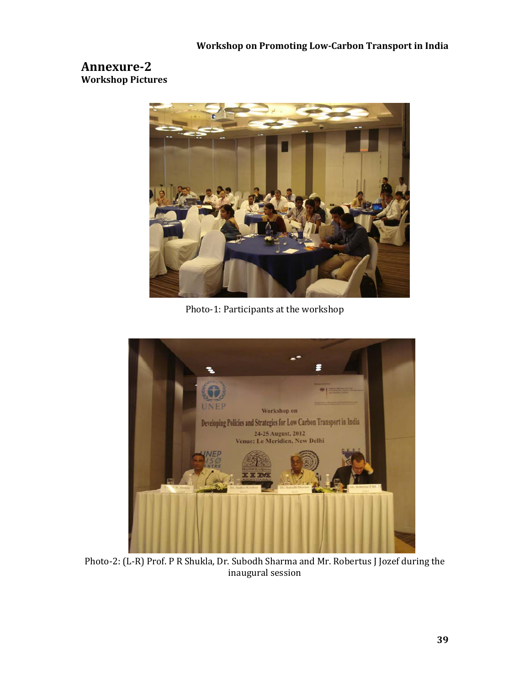# **Annexure‐2 Workshop Pictures**



Photo-1: Participants at the workshop



Photo-2: (L-R) Prof. P R Shukla, Dr. Subodh Sharma and Mr. Robertus J Jozef during the inaugural session